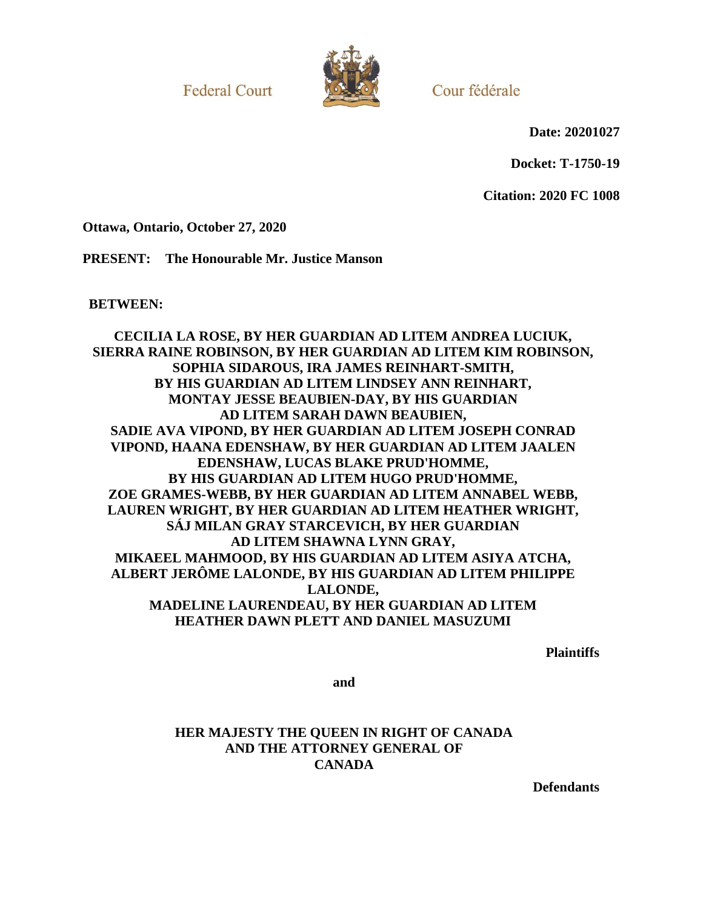**Federal Court** 



Cour fédérale

**Date: 20201027**

**Docket: T-1750-19**

**Citation: 2020 FC 1008**

**Ottawa, Ontario, October 27, 2020**

**PRESENT: The Honourable Mr. Justice Manson**

**BETWEEN:**

**CECILIA LA ROSE, BY HER GUARDIAN AD LITEM ANDREA LUCIUK, SIERRA RAINE ROBINSON, BY HER GUARDIAN AD LITEM KIM ROBINSON, SOPHIA SIDAROUS, IRA JAMES REINHART-SMITH, BY HIS GUARDIAN AD LITEM LINDSEY ANN REINHART, MONTAY JESSE BEAUBIEN-DAY, BY HIS GUARDIAN AD LITEM SARAH DAWN BEAUBIEN, SADIE AVA VIPOND, BY HER GUARDIAN AD LITEM JOSEPH CONRAD VIPOND, HAANA EDENSHAW, BY HER GUARDIAN AD LITEM JAALEN EDENSHAW, LUCAS BLAKE PRUD'HOMME, BY HIS GUARDIAN AD LITEM HUGO PRUD'HOMME, ZOE GRAMES-WEBB, BY HER GUARDIAN AD LITEM ANNABEL WEBB, LAUREN WRIGHT, BY HER GUARDIAN AD LITEM HEATHER WRIGHT, SÁJ MILAN GRAY STARCEVICH, BY HER GUARDIAN AD LITEM SHAWNA LYNN GRAY, MIKAEEL MAHMOOD, BY HIS GUARDIAN AD LITEM ASIYA ATCHA, ALBERT JERÔME LALONDE, BY HIS GUARDIAN AD LITEM PHILIPPE LALONDE, MADELINE LAURENDEAU, BY HER GUARDIAN AD LITEM HEATHER DAWN PLETT AND DANIEL MASUZUMI**

**Plaintiffs**

**and**

**HER MAJESTY THE QUEEN IN RIGHT OF CANADA AND THE ATTORNEY GENERAL OF CANADA**

**Defendants**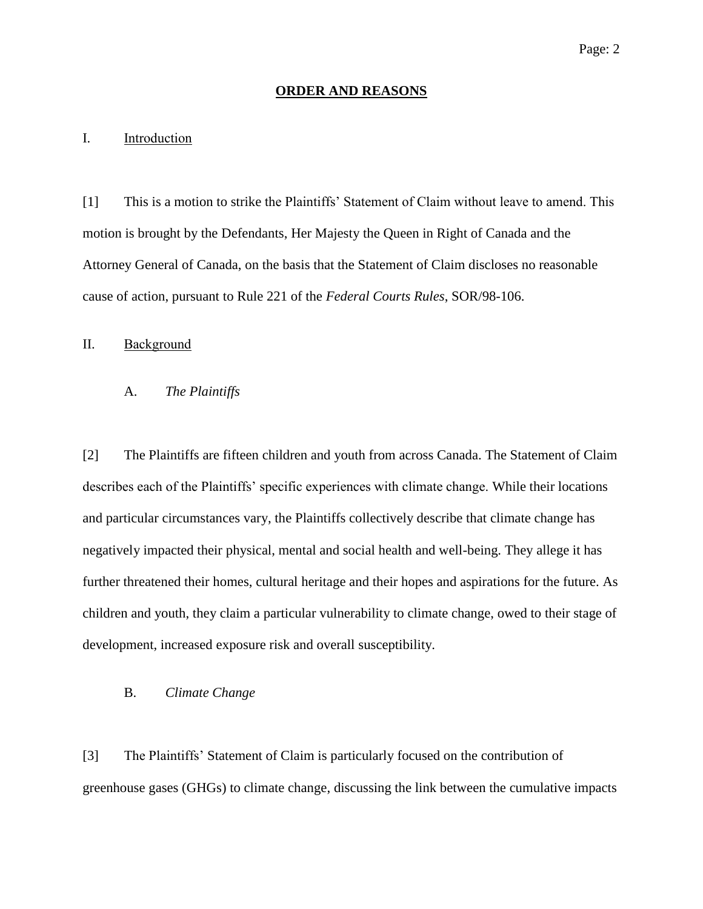#### **ORDER AND REASONS**

# I. Introduction

[1] This is a motion to strike the Plaintiffs' Statement of Claim without leave to amend. This motion is brought by the Defendants, Her Majesty the Queen in Right of Canada and the Attorney General of Canada, on the basis that the Statement of Claim discloses no reasonable cause of action, pursuant to Rule 221 of the *Federal Courts Rules*, SOR/98-106.

# II. Background

# A. *The Plaintiffs*

[2] The Plaintiffs are fifteen children and youth from across Canada. The Statement of Claim describes each of the Plaintiffs' specific experiences with climate change. While their locations and particular circumstances vary, the Plaintiffs collectively describe that climate change has negatively impacted their physical, mental and social health and well-being. They allege it has further threatened their homes, cultural heritage and their hopes and aspirations for the future. As children and youth, they claim a particular vulnerability to climate change, owed to their stage of development, increased exposure risk and overall susceptibility.

# B. *Climate Change*

[3] The Plaintiffs' Statement of Claim is particularly focused on the contribution of greenhouse gases (GHGs) to climate change, discussing the link between the cumulative impacts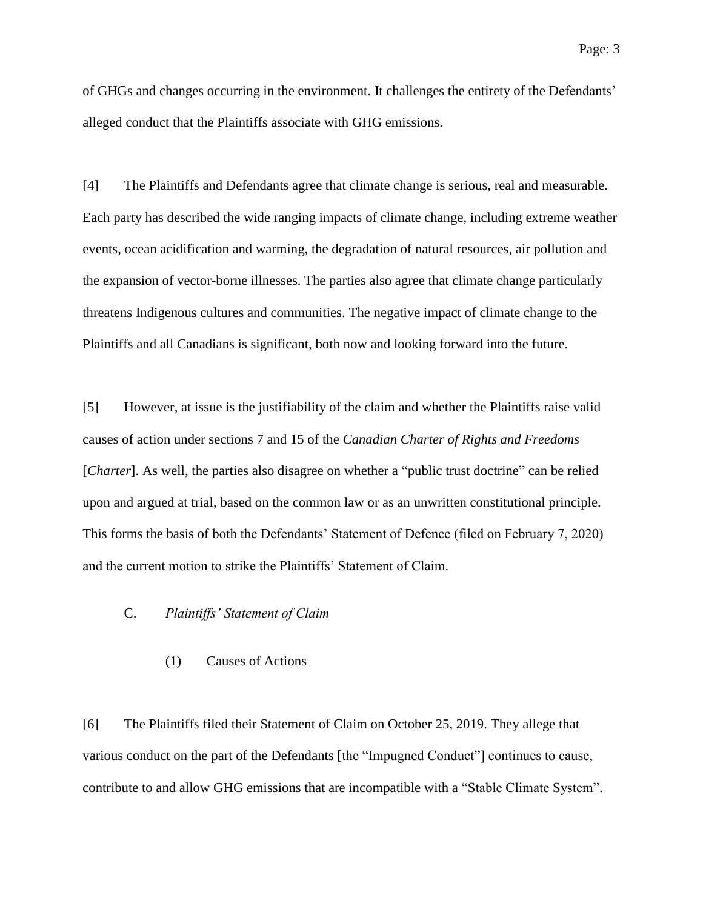of GHGs and changes occurring in the environment. It challenges the entirety of the Defendants' alleged conduct that the Plaintiffs associate with GHG emissions.

[4] The Plaintiffs and Defendants agree that climate change is serious, real and measurable. Each party has described the wide ranging impacts of climate change, including extreme weather events, ocean acidification and warming, the degradation of natural resources, air pollution and the expansion of vector-borne illnesses. The parties also agree that climate change particularly threatens Indigenous cultures and communities. The negative impact of climate change to the Plaintiffs and all Canadians is significant, both now and looking forward into the future.

[5] However, at issue is the justifiability of the claim and whether the Plaintiffs raise valid causes of action under sections 7 and 15 of the *Canadian Charter of Rights and Freedoms*  [*Charter*]. As well, the parties also disagree on whether a "public trust doctrine" can be relied upon and argued at trial, based on the common law or as an unwritten constitutional principle. This forms the basis of both the Defendants' Statement of Defence (filed on February 7, 2020) and the current motion to strike the Plaintiffs' Statement of Claim.

# C. *Plaintiffs' Statement of Claim*

(1) Causes of Actions

[6] The Plaintiffs filed their Statement of Claim on October 25, 2019. They allege that various conduct on the part of the Defendants [the "Impugned Conduct"] continues to cause, contribute to and allow GHG emissions that are incompatible with a "Stable Climate System".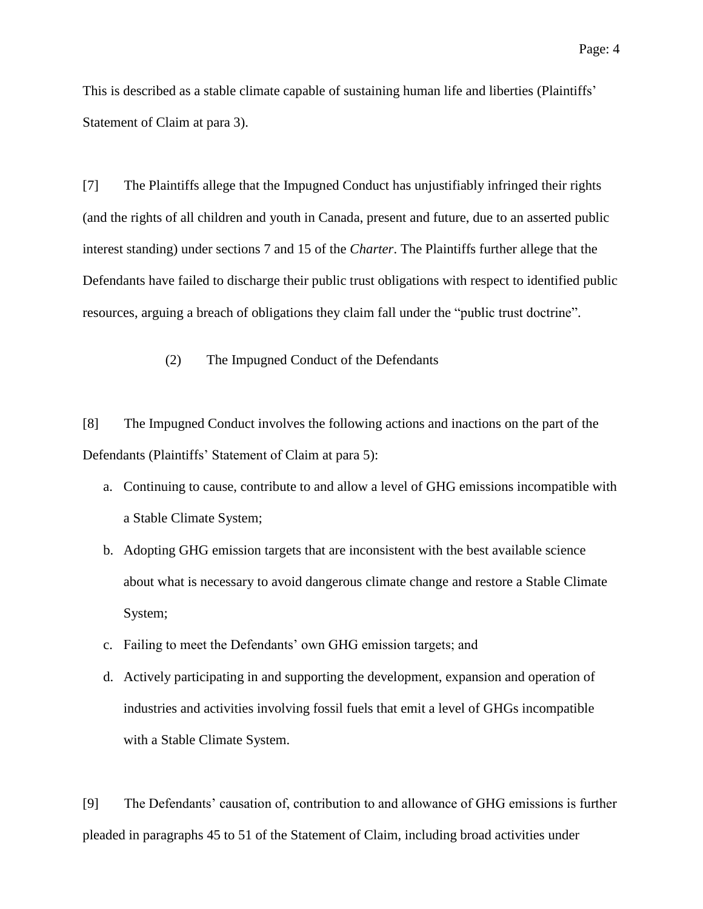This is described as a stable climate capable of sustaining human life and liberties (Plaintiffs' Statement of Claim at para 3).

[7] The Plaintiffs allege that the Impugned Conduct has unjustifiably infringed their rights (and the rights of all children and youth in Canada, present and future, due to an asserted public interest standing) under sections 7 and 15 of the *Charter*. The Plaintiffs further allege that the Defendants have failed to discharge their public trust obligations with respect to identified public resources, arguing a breach of obligations they claim fall under the "public trust doctrine".

(2) The Impugned Conduct of the Defendants

[8] The Impugned Conduct involves the following actions and inactions on the part of the Defendants (Plaintiffs' Statement of Claim at para 5):

- a. Continuing to cause, contribute to and allow a level of GHG emissions incompatible with a Stable Climate System;
- b. Adopting GHG emission targets that are inconsistent with the best available science about what is necessary to avoid dangerous climate change and restore a Stable Climate System;
- c. Failing to meet the Defendants' own GHG emission targets; and
- d. Actively participating in and supporting the development, expansion and operation of industries and activities involving fossil fuels that emit a level of GHGs incompatible with a Stable Climate System.

[9] The Defendants' causation of, contribution to and allowance of GHG emissions is further pleaded in paragraphs 45 to 51 of the Statement of Claim, including broad activities under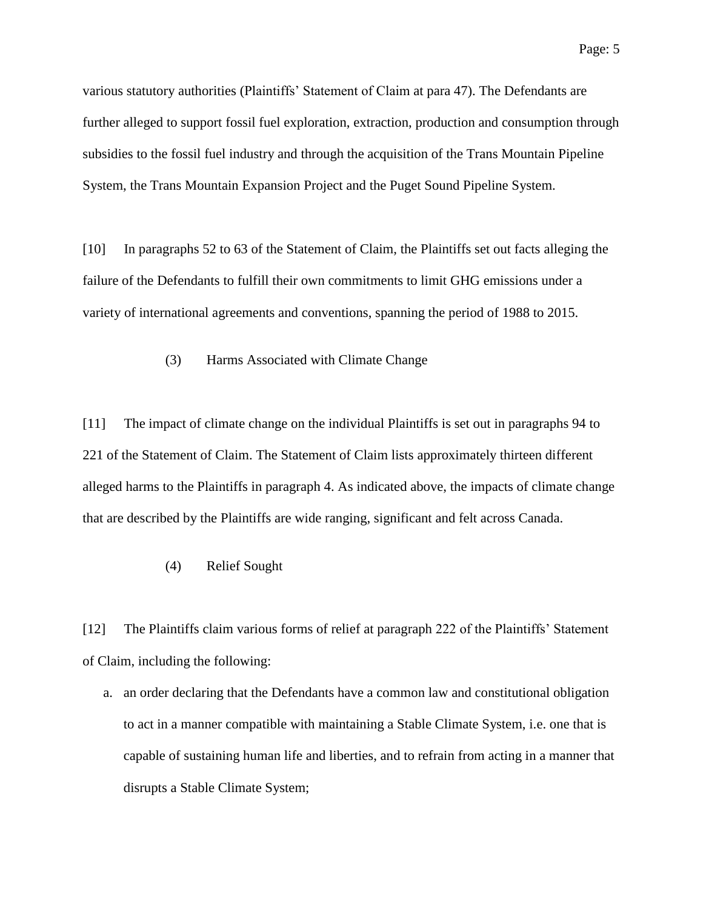various statutory authorities (Plaintiffs' Statement of Claim at para 47). The Defendants are further alleged to support fossil fuel exploration, extraction, production and consumption through subsidies to the fossil fuel industry and through the acquisition of the Trans Mountain Pipeline System, the Trans Mountain Expansion Project and the Puget Sound Pipeline System.

[10] In paragraphs 52 to 63 of the Statement of Claim, the Plaintiffs set out facts alleging the failure of the Defendants to fulfill their own commitments to limit GHG emissions under a variety of international agreements and conventions, spanning the period of 1988 to 2015.

(3) Harms Associated with Climate Change

[11] The impact of climate change on the individual Plaintiffs is set out in paragraphs 94 to 221 of the Statement of Claim. The Statement of Claim lists approximately thirteen different alleged harms to the Plaintiffs in paragraph 4. As indicated above, the impacts of climate change that are described by the Plaintiffs are wide ranging, significant and felt across Canada.

## (4) Relief Sought

[12] The Plaintiffs claim various forms of relief at paragraph 222 of the Plaintiffs' Statement of Claim, including the following:

a. an order declaring that the Defendants have a common law and constitutional obligation to act in a manner compatible with maintaining a Stable Climate System, i.e. one that is capable of sustaining human life and liberties, and to refrain from acting in a manner that disrupts a Stable Climate System;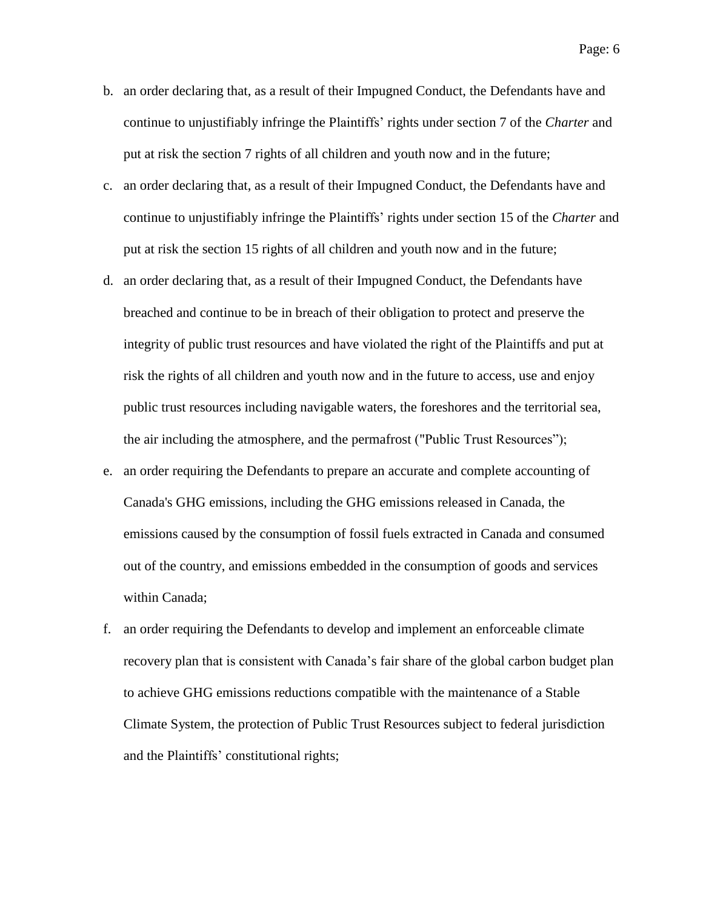- b. an order declaring that, as a result of their Impugned Conduct, the Defendants have and continue to unjustifiably infringe the Plaintiffs' rights under section 7 of the *Charter* and put at risk the section 7 rights of all children and youth now and in the future;
- c. an order declaring that, as a result of their Impugned Conduct, the Defendants have and continue to unjustifiably infringe the Plaintiffs' rights under section 15 of the *Charter* and put at risk the section 15 rights of all children and youth now and in the future;
- d. an order declaring that, as a result of their Impugned Conduct, the Defendants have breached and continue to be in breach of their obligation to protect and preserve the integrity of public trust resources and have violated the right of the Plaintiffs and put at risk the rights of all children and youth now and in the future to access, use and enjoy public trust resources including navigable waters, the foreshores and the territorial sea, the air including the atmosphere, and the permafrost ("Public Trust Resources");
- e. an order requiring the Defendants to prepare an accurate and complete accounting of Canada's GHG emissions, including the GHG emissions released in Canada, the emissions caused by the consumption of fossil fuels extracted in Canada and consumed out of the country, and emissions embedded in the consumption of goods and services within Canada;
- f. an order requiring the Defendants to develop and implement an enforceable climate recovery plan that is consistent with Canada's fair share of the global carbon budget plan to achieve GHG emissions reductions compatible with the maintenance of a Stable Climate System, the protection of Public Trust Resources subject to federal jurisdiction and the Plaintiffs' constitutional rights;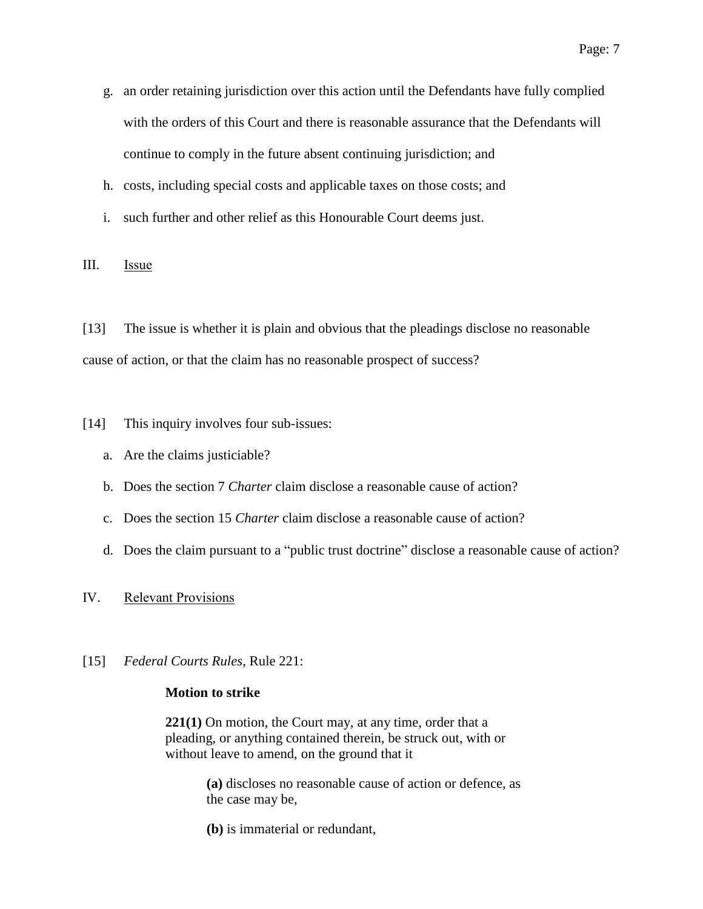- g. an order retaining jurisdiction over this action until the Defendants have fully complied with the orders of this Court and there is reasonable assurance that the Defendants will continue to comply in the future absent continuing jurisdiction; and
- h. costs, including special costs and applicable taxes on those costs; and
- i. such further and other relief as this Honourable Court deems just.

III. Issue

[13] The issue is whether it is plain and obvious that the pleadings disclose no reasonable cause of action, or that the claim has no reasonable prospect of success?

[14] This inquiry involves four sub-issues:

- a. Are the claims justiciable?
- b. Does the section 7 *Charter* claim disclose a reasonable cause of action?
- c. Does the section 15 *Charter* claim disclose a reasonable cause of action?
- d. Does the claim pursuant to a "public trust doctrine" disclose a reasonable cause of action?
- IV. Relevant Provisions
- [15] *Federal Courts Rules*, Rule 221:

#### **Motion to strike**

**221(1)** On motion, the Court may, at any time, order that a pleading, or anything contained therein, be struck out, with or without leave to amend, on the ground that it

> **(a)** discloses no reasonable cause of action or defence, as the case may be,

**(b)** is immaterial or redundant,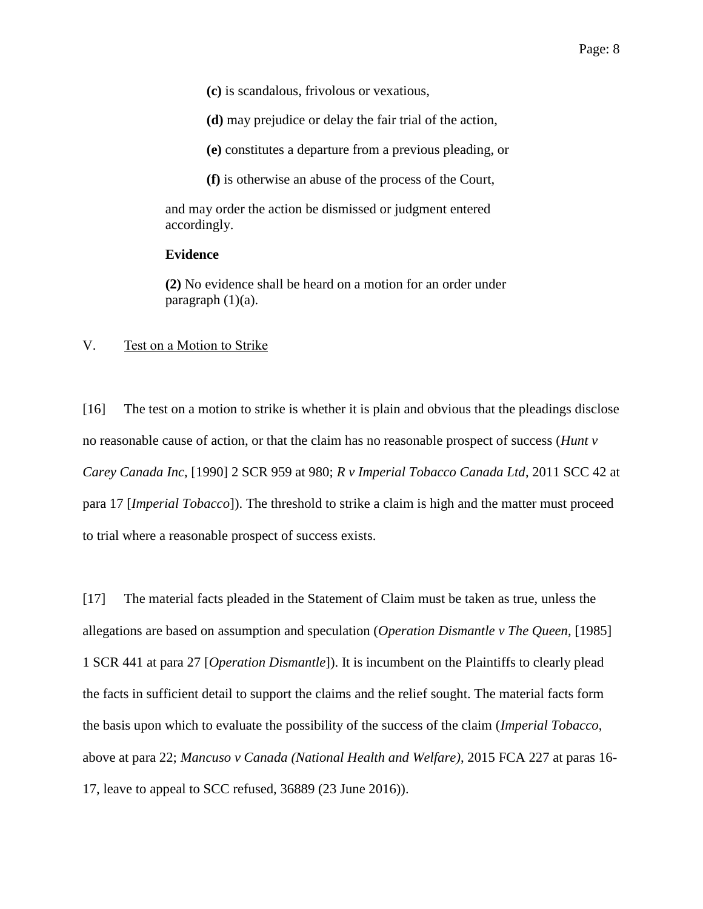**(c)** is scandalous, frivolous or vexatious,

**(d)** may prejudice or delay the fair trial of the action,

**(e)** constitutes a departure from a previous pleading, or

**(f)** is otherwise an abuse of the process of the Court,

and may order the action be dismissed or judgment entered accordingly.

## **Evidence**

**(2)** No evidence shall be heard on a motion for an order under paragraph  $(1)(a)$ .

#### V. Test on a Motion to Strike

[16] The test on a motion to strike is whether it is plain and obvious that the pleadings disclose no reasonable cause of action, or that the claim has no reasonable prospect of success (*Hunt v Carey Canada Inc*, [1990] 2 SCR 959 at 980; *R v Imperial Tobacco Canada Ltd*, 2011 SCC 42 at para 17 [*Imperial Tobacco*]). The threshold to strike a claim is high and the matter must proceed to trial where a reasonable prospect of success exists.

[17] The material facts pleaded in the Statement of Claim must be taken as true, unless the allegations are based on assumption and speculation (*Operation Dismantle v The Queen*, [1985] 1 SCR 441 at para 27 [*Operation Dismantle*]). It is incumbent on the Plaintiffs to clearly plead the facts in sufficient detail to support the claims and the relief sought. The material facts form the basis upon which to evaluate the possibility of the success of the claim (*Imperial Tobacco*, above at para 22; *Mancuso v Canada (National Health and Welfare)*, 2015 FCA 227 at paras 16- 17, leave to appeal to SCC refused, 36889 (23 June 2016)).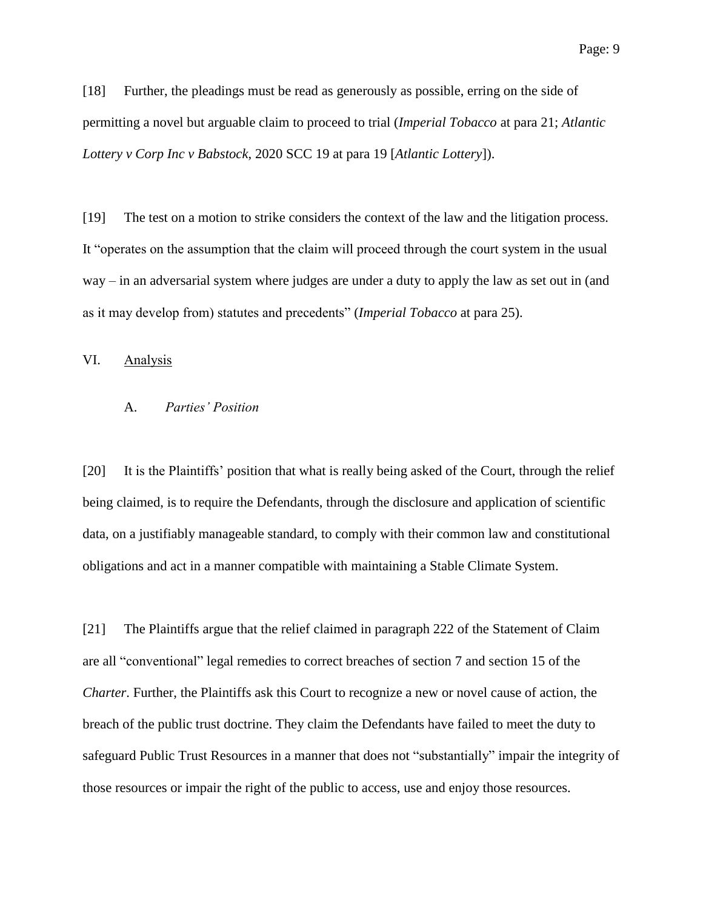[18] Further, the pleadings must be read as generously as possible, erring on the side of permitting a novel but arguable claim to proceed to trial (*Imperial Tobacco* at para 21; *Atlantic Lottery v Corp Inc v Babstock*, 2020 SCC 19 at para 19 [*Atlantic Lottery*]).

[19] The test on a motion to strike considers the context of the law and the litigation process. It "operates on the assumption that the claim will proceed through the court system in the usual way – in an adversarial system where judges are under a duty to apply the law as set out in (and as it may develop from) statutes and precedents" (*Imperial Tobacco* at para 25).

# VI. Analysis

## A. *Parties' Position*

[20] It is the Plaintiffs' position that what is really being asked of the Court, through the relief being claimed, is to require the Defendants, through the disclosure and application of scientific data, on a justifiably manageable standard, to comply with their common law and constitutional obligations and act in a manner compatible with maintaining a Stable Climate System.

[21] The Plaintiffs argue that the relief claimed in paragraph 222 of the Statement of Claim are all "conventional" legal remedies to correct breaches of section 7 and section 15 of the *Charter*. Further, the Plaintiffs ask this Court to recognize a new or novel cause of action, the breach of the public trust doctrine. They claim the Defendants have failed to meet the duty to safeguard Public Trust Resources in a manner that does not "substantially" impair the integrity of those resources or impair the right of the public to access, use and enjoy those resources.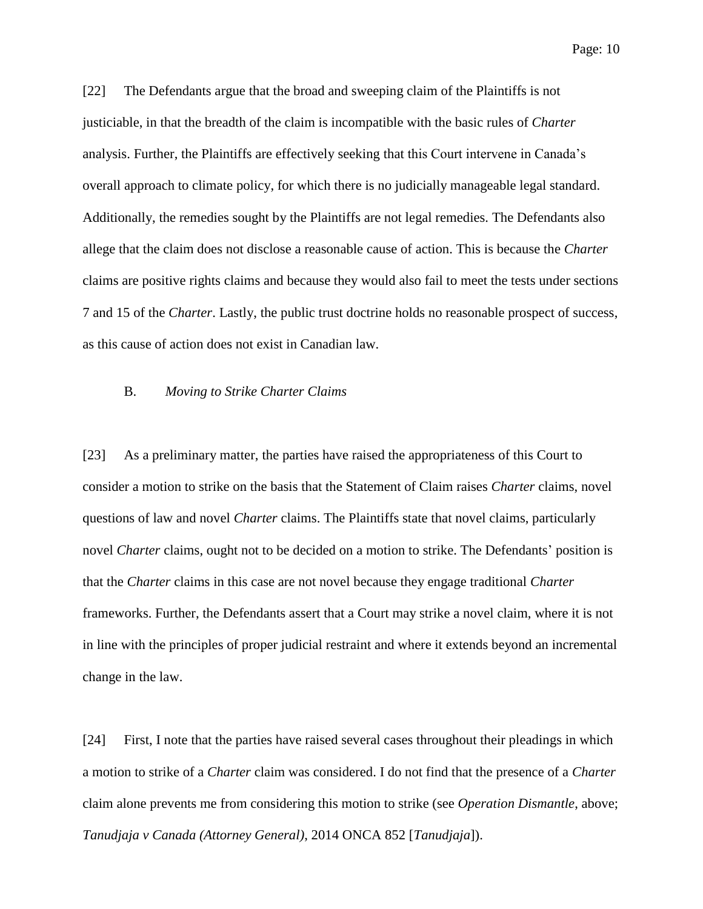Page: 10

[22] The Defendants argue that the broad and sweeping claim of the Plaintiffs is not justiciable, in that the breadth of the claim is incompatible with the basic rules of *Charter* analysis. Further, the Plaintiffs are effectively seeking that this Court intervene in Canada's overall approach to climate policy, for which there is no judicially manageable legal standard. Additionally, the remedies sought by the Plaintiffs are not legal remedies. The Defendants also allege that the claim does not disclose a reasonable cause of action. This is because the *Charter*  claims are positive rights claims and because they would also fail to meet the tests under sections 7 and 15 of the *Charter*. Lastly, the public trust doctrine holds no reasonable prospect of success, as this cause of action does not exist in Canadian law.

## B. *Moving to Strike Charter Claims*

[23] As a preliminary matter, the parties have raised the appropriateness of this Court to consider a motion to strike on the basis that the Statement of Claim raises *Charter* claims, novel questions of law and novel *Charter* claims. The Plaintiffs state that novel claims, particularly novel *Charter* claims, ought not to be decided on a motion to strike. The Defendants' position is that the *Charter* claims in this case are not novel because they engage traditional *Charter*  frameworks. Further, the Defendants assert that a Court may strike a novel claim, where it is not in line with the principles of proper judicial restraint and where it extends beyond an incremental change in the law.

[24] First, I note that the parties have raised several cases throughout their pleadings in which a motion to strike of a *Charter* claim was considered. I do not find that the presence of a *Charter*  claim alone prevents me from considering this motion to strike (see *Operation Dismantle*, above; *Tanudjaja v Canada (Attorney General)*, 2014 ONCA 852 [*Tanudjaja*]).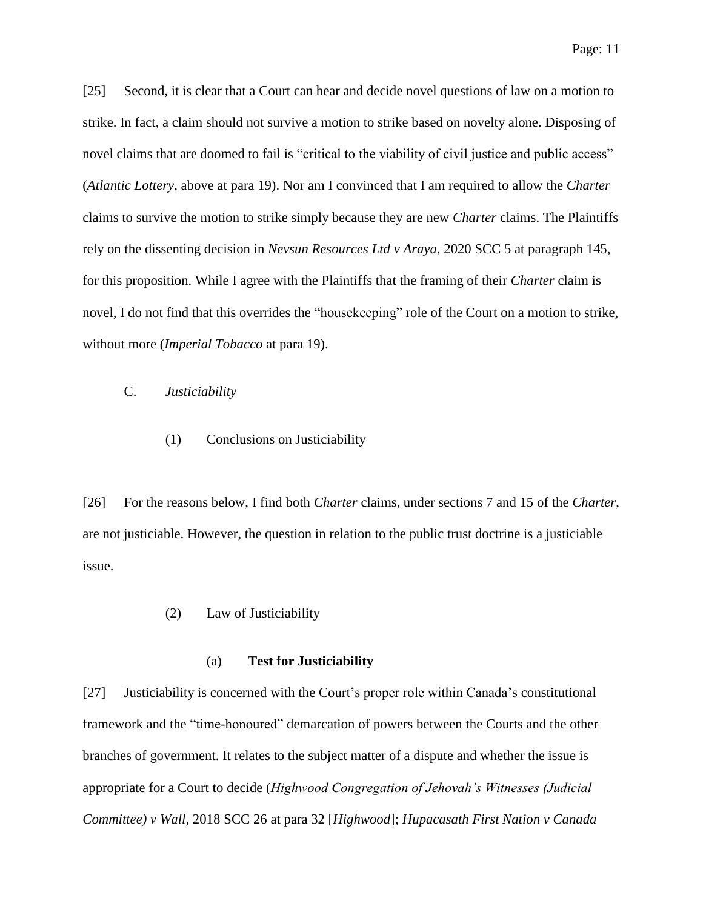[25] Second, it is clear that a Court can hear and decide novel questions of law on a motion to strike. In fact, a claim should not survive a motion to strike based on novelty alone. Disposing of novel claims that are doomed to fail is "critical to the viability of civil justice and public access" (*Atlantic Lottery*, above at para 19). Nor am I convinced that I am required to allow the *Charter*  claims to survive the motion to strike simply because they are new *Charter* claims. The Plaintiffs rely on the dissenting decision in *Nevsun Resources Ltd v Araya*, 2020 SCC 5 at paragraph 145, for this proposition. While I agree with the Plaintiffs that the framing of their *Charter* claim is novel, I do not find that this overrides the "housekeeping" role of the Court on a motion to strike, without more (*Imperial Tobacco* at para 19).

# C. *Justiciability*

(1) Conclusions on Justiciability

[26] For the reasons below, I find both *Charter* claims, under sections 7 and 15 of the *Charter*, are not justiciable. However, the question in relation to the public trust doctrine is a justiciable issue.

(2) Law of Justiciability

#### (a) **Test for Justiciability**

[27] Justiciability is concerned with the Court's proper role within Canada's constitutional framework and the "time-honoured" demarcation of powers between the Courts and the other branches of government. It relates to the subject matter of a dispute and whether the issue is appropriate for a Court to decide (*Highwood Congregation of Jehovah's Witnesses (Judicial Committee) v Wall*, 2018 SCC 26 at para 32 [*Highwood*]; *Hupacasath First Nation v Canada*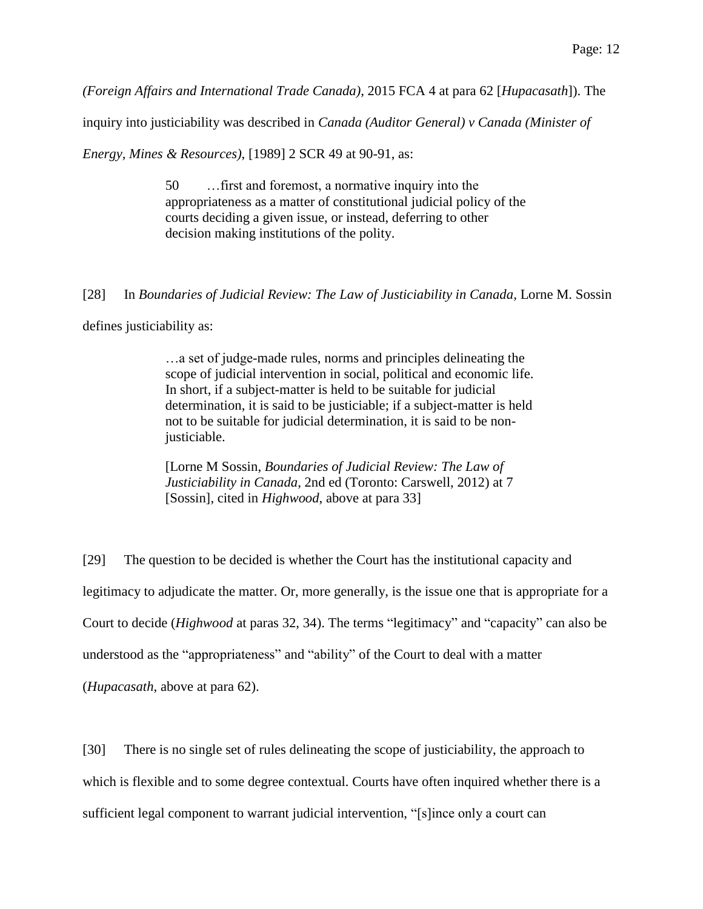*(Foreign Affairs and International Trade Canada)*, 2015 FCA 4 at para 62 [*Hupacasath*]). The

inquiry into justiciability was described in *Canada (Auditor General) v Canada (Minister of* 

*Energy, Mines & Resources)*, [1989] 2 SCR 49 at 90-91, as:

50 …first and foremost, a normative inquiry into the appropriateness as a matter of constitutional judicial policy of the courts deciding a given issue, or instead, deferring to other decision making institutions of the polity.

[28] In *Boundaries of Judicial Review: The Law of Justiciability in Canada,* Lorne M. Sossin

defines justiciability as:

…a set of judge-made rules, norms and principles delineating the scope of judicial intervention in social, political and economic life. In short, if a subject-matter is held to be suitable for judicial determination, it is said to be justiciable; if a subject-matter is held not to be suitable for judicial determination, it is said to be nonjusticiable.

[Lorne M Sossin, *Boundaries of Judicial Review: The Law of Justiciability in Canada*, 2nd ed (Toronto: Carswell, 2012) at 7 [Sossin], cited in *Highwood*, above at para 33]

[29] The question to be decided is whether the Court has the institutional capacity and legitimacy to adjudicate the matter. Or, more generally, is the issue one that is appropriate for a Court to decide (*Highwood* at paras 32, 34). The terms "legitimacy" and "capacity" can also be understood as the "appropriateness" and "ability" of the Court to deal with a matter (*Hupacasath*, above at para 62).

[30] There is no single set of rules delineating the scope of justiciability, the approach to

which is flexible and to some degree contextual. Courts have often inquired whether there is a

sufficient legal component to warrant judicial intervention, "[s]ince only a court can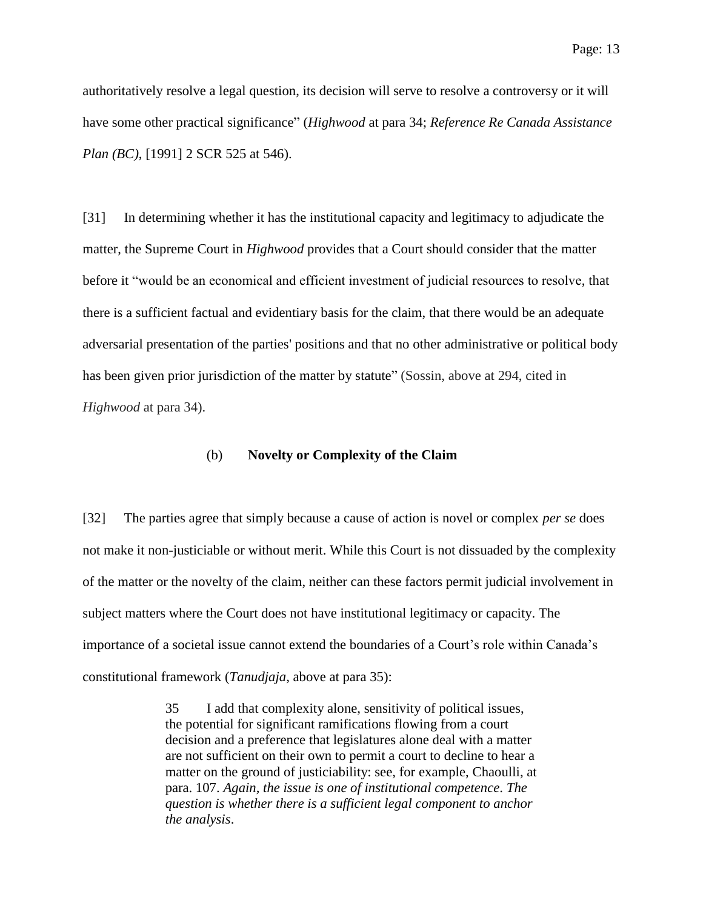authoritatively resolve a legal question, its decision will serve to resolve a controversy or it will have some other practical significance" (*Highwood* at para 34; *Reference Re Canada Assistance Plan (BC)*, [1991] 2 SCR 525 at 546).

[31] In determining whether it has the institutional capacity and legitimacy to adjudicate the matter, the Supreme Court in *Highwood* provides that a Court should consider that the matter before it "would be an economical and efficient investment of judicial resources to resolve, that there is a sufficient factual and evidentiary basis for the claim, that there would be an adequate adversarial presentation of the parties' positions and that no other administrative or political body has been given prior jurisdiction of the matter by statute" (Sossin, above at 294, cited in *Highwood* at para 34).

## (b) **Novelty or Complexity of the Claim**

[32] The parties agree that simply because a cause of action is novel or complex *per se* does not make it non-justiciable or without merit. While this Court is not dissuaded by the complexity of the matter or the novelty of the claim, neither can these factors permit judicial involvement in subject matters where the Court does not have institutional legitimacy or capacity. The importance of a societal issue cannot extend the boundaries of a Court's role within Canada's constitutional framework (*Tanudjaja*, above at para 35):

> 35 I add that complexity alone, sensitivity of political issues, the potential for significant ramifications flowing from a court decision and a preference that legislatures alone deal with a matter are not sufficient on their own to permit a court to decline to hear a matter on the ground of justiciability: see, for example, Chaoulli, at para. 107. *Again, the issue is one of institutional competence*. *The question is whether there is a sufficient legal component to anchor the analysis*.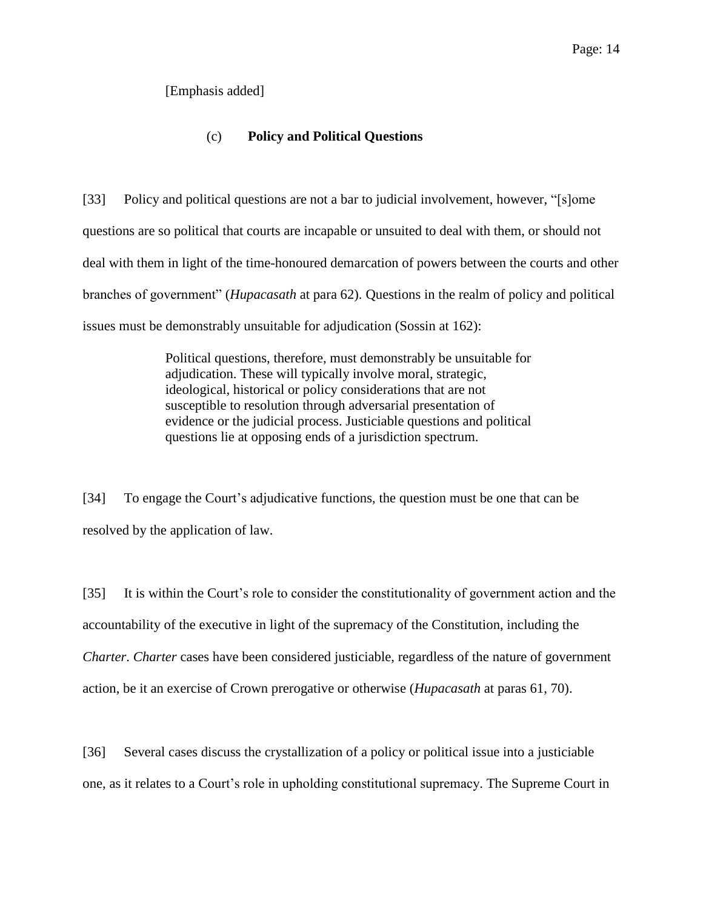# [Emphasis added]

# (c) **Policy and Political Questions**

[33] Policy and political questions are not a bar to judicial involvement, however, "[s]ome questions are so political that courts are incapable or unsuited to deal with them, or should not deal with them in light of the time-honoured demarcation of powers between the courts and other branches of government" (*Hupacasath* at para 62). Questions in the realm of policy and political issues must be demonstrably unsuitable for adjudication (Sossin at 162):

> Political questions, therefore, must demonstrably be unsuitable for adjudication. These will typically involve moral, strategic, ideological, historical or policy considerations that are not susceptible to resolution through adversarial presentation of evidence or the judicial process. Justiciable questions and political questions lie at opposing ends of a jurisdiction spectrum.

[34] To engage the Court's adjudicative functions, the question must be one that can be resolved by the application of law.

[35] It is within the Court's role to consider the constitutionality of government action and the accountability of the executive in light of the supremacy of the Constitution, including the *Charter*. *Charter* cases have been considered justiciable, regardless of the nature of government action, be it an exercise of Crown prerogative or otherwise (*Hupacasath* at paras 61, 70).

[36] Several cases discuss the crystallization of a policy or political issue into a justiciable one, as it relates to a Court's role in upholding constitutional supremacy. The Supreme Court in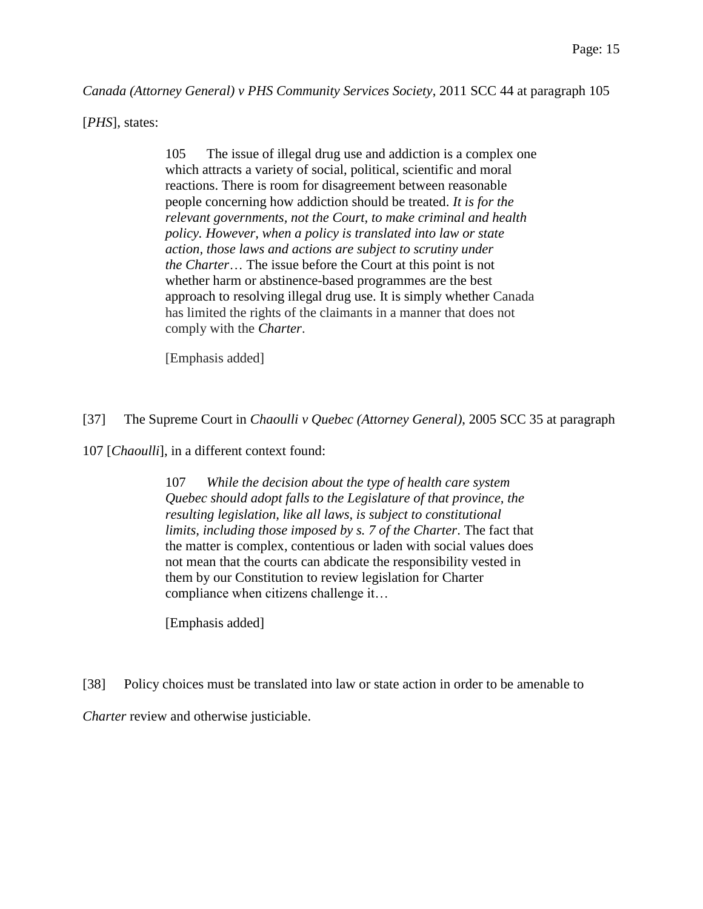*Canada (Attorney General) v PHS Community Services Society*, 2011 SCC 44 at paragraph 105

[*PHS*], states:

105 The issue of illegal drug use and addiction is a complex one which attracts a variety of social, political, scientific and moral reactions. There is room for disagreement between reasonable people concerning how addiction should be treated. *It is for the relevant governments, not the Court, to make criminal and health policy. However, when a policy is translated into law or state action, those laws and actions are subject to scrutiny under the Charter*… The issue before the Court at this point is not whether harm or abstinence-based programmes are the best approach to resolving illegal drug use. It is simply whether Canada has limited the rights of the claimants in a manner that does not comply with the *Charter*.

[Emphasis added]

[37] The Supreme Court in *Chaoulli v Quebec (Attorney General)*, 2005 SCC 35 at paragraph

107 [*Chaoulli*], in a different context found:

107 *While the decision about the type of health care system Quebec should adopt falls to the Legislature of that province, the resulting legislation, like all laws, is subject to constitutional limits, including those imposed by s. 7 of the Charter*. The fact that the matter is complex, contentious or laden with social values does not mean that the courts can abdicate the responsibility vested in them by our Constitution to review legislation for Charter compliance when citizens challenge it…

[Emphasis added]

[38] Policy choices must be translated into law or state action in order to be amenable to

*Charter* review and otherwise justiciable.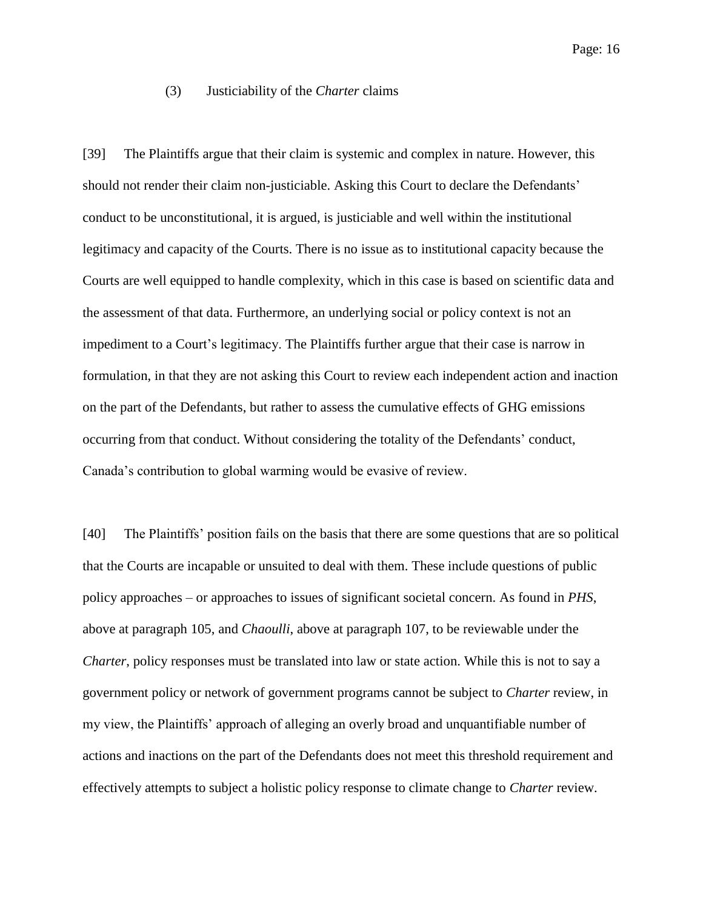## (3) Justiciability of the *Charter* claims

[39] The Plaintiffs argue that their claim is systemic and complex in nature. However, this should not render their claim non-justiciable. Asking this Court to declare the Defendants' conduct to be unconstitutional, it is argued, is justiciable and well within the institutional legitimacy and capacity of the Courts. There is no issue as to institutional capacity because the Courts are well equipped to handle complexity, which in this case is based on scientific data and the assessment of that data. Furthermore, an underlying social or policy context is not an impediment to a Court's legitimacy. The Plaintiffs further argue that their case is narrow in formulation, in that they are not asking this Court to review each independent action and inaction on the part of the Defendants, but rather to assess the cumulative effects of GHG emissions occurring from that conduct. Without considering the totality of the Defendants' conduct, Canada's contribution to global warming would be evasive of review.

[40] The Plaintiffs' position fails on the basis that there are some questions that are so political that the Courts are incapable or unsuited to deal with them. These include questions of public policy approaches – or approaches to issues of significant societal concern. As found in *PHS*, above at paragraph 105, and *Chaoulli*, above at paragraph 107, to be reviewable under the *Charter*, policy responses must be translated into law or state action. While this is not to say a government policy or network of government programs cannot be subject to *Charter* review, in my view, the Plaintiffs' approach of alleging an overly broad and unquantifiable number of actions and inactions on the part of the Defendants does not meet this threshold requirement and effectively attempts to subject a holistic policy response to climate change to *Charter* review.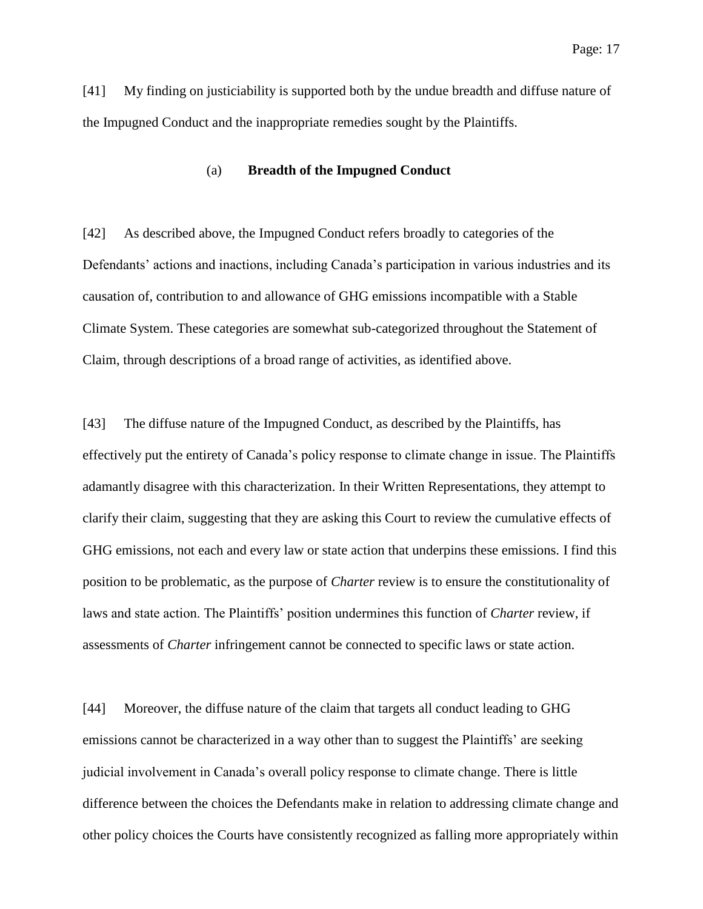[41] My finding on justiciability is supported both by the undue breadth and diffuse nature of the Impugned Conduct and the inappropriate remedies sought by the Plaintiffs.

### (a) **Breadth of the Impugned Conduct**

[42] As described above, the Impugned Conduct refers broadly to categories of the Defendants' actions and inactions, including Canada's participation in various industries and its causation of, contribution to and allowance of GHG emissions incompatible with a Stable Climate System. These categories are somewhat sub-categorized throughout the Statement of Claim, through descriptions of a broad range of activities, as identified above.

[43] The diffuse nature of the Impugned Conduct, as described by the Plaintiffs, has effectively put the entirety of Canada's policy response to climate change in issue. The Plaintiffs adamantly disagree with this characterization. In their Written Representations, they attempt to clarify their claim, suggesting that they are asking this Court to review the cumulative effects of GHG emissions, not each and every law or state action that underpins these emissions. I find this position to be problematic, as the purpose of *Charter* review is to ensure the constitutionality of laws and state action. The Plaintiffs' position undermines this function of *Charter* review, if assessments of *Charter* infringement cannot be connected to specific laws or state action.

[44] Moreover, the diffuse nature of the claim that targets all conduct leading to GHG emissions cannot be characterized in a way other than to suggest the Plaintiffs' are seeking judicial involvement in Canada's overall policy response to climate change. There is little difference between the choices the Defendants make in relation to addressing climate change and other policy choices the Courts have consistently recognized as falling more appropriately within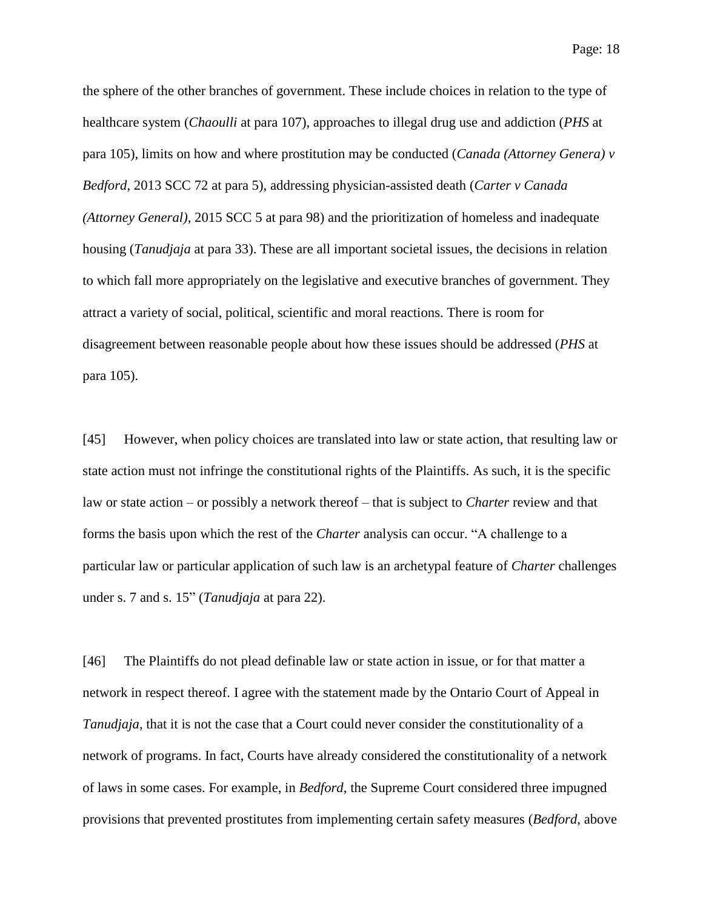Page: 18

the sphere of the other branches of government. These include choices in relation to the type of healthcare system (*Chaoulli* at para 107), approaches to illegal drug use and addiction (*PHS* at para 105), limits on how and where prostitution may be conducted (*Canada (Attorney Genera) v Bedford*, 2013 SCC 72 at para 5), addressing physician-assisted death (*Carter v Canada (Attorney General)*, 2015 SCC 5 at para 98) and the prioritization of homeless and inadequate housing (*Tanudjaja* at para 33). These are all important societal issues, the decisions in relation to which fall more appropriately on the legislative and executive branches of government. They attract a variety of social, political, scientific and moral reactions. There is room for disagreement between reasonable people about how these issues should be addressed (*PHS* at para 105).

[45] However, when policy choices are translated into law or state action, that resulting law or state action must not infringe the constitutional rights of the Plaintiffs. As such, it is the specific law or state action – or possibly a network thereof – that is subject to *Charter* review and that forms the basis upon which the rest of the *Charter* analysis can occur. "A challenge to a particular law or particular application of such law is an archetypal feature of *Charter* challenges under s. 7 and s. 15" (*Tanudjaja* at para 22).

[46] The Plaintiffs do not plead definable law or state action in issue, or for that matter a network in respect thereof. I agree with the statement made by the Ontario Court of Appeal in *Tanudjaja*, that it is not the case that a Court could never consider the constitutionality of a network of programs. In fact, Courts have already considered the constitutionality of a network of laws in some cases. For example, in *Bedford*, the Supreme Court considered three impugned provisions that prevented prostitutes from implementing certain safety measures (*Bedford*, above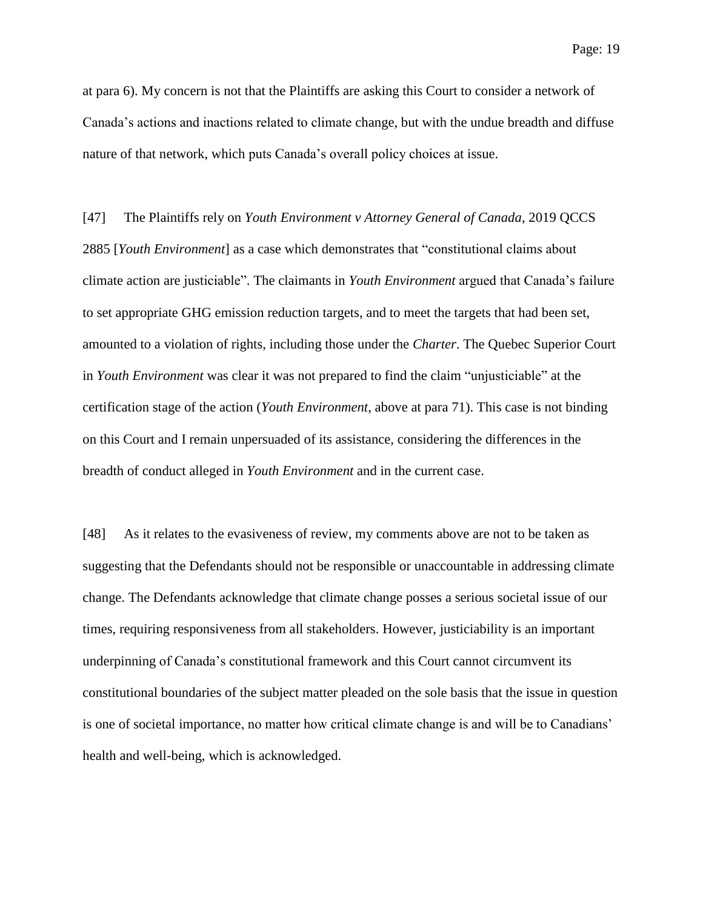at para 6). My concern is not that the Plaintiffs are asking this Court to consider a network of Canada's actions and inactions related to climate change, but with the undue breadth and diffuse nature of that network, which puts Canada's overall policy choices at issue.

[47] The Plaintiffs rely on *Youth Environment v Attorney General of Canada*, 2019 QCCS 2885 [*Youth Environment*] as a case which demonstrates that "constitutional claims about climate action are justiciable". The claimants in *Youth Environment* argued that Canada's failure to set appropriate GHG emission reduction targets, and to meet the targets that had been set, amounted to a violation of rights, including those under the *Charter*. The Quebec Superior Court in *Youth Environment* was clear it was not prepared to find the claim "unjusticiable" at the certification stage of the action (*Youth Environment*, above at para 71). This case is not binding on this Court and I remain unpersuaded of its assistance, considering the differences in the breadth of conduct alleged in *Youth Environment* and in the current case.

[48] As it relates to the evasiveness of review, my comments above are not to be taken as suggesting that the Defendants should not be responsible or unaccountable in addressing climate change. The Defendants acknowledge that climate change posses a serious societal issue of our times, requiring responsiveness from all stakeholders. However, justiciability is an important underpinning of Canada's constitutional framework and this Court cannot circumvent its constitutional boundaries of the subject matter pleaded on the sole basis that the issue in question is one of societal importance, no matter how critical climate change is and will be to Canadians' health and well-being, which is acknowledged.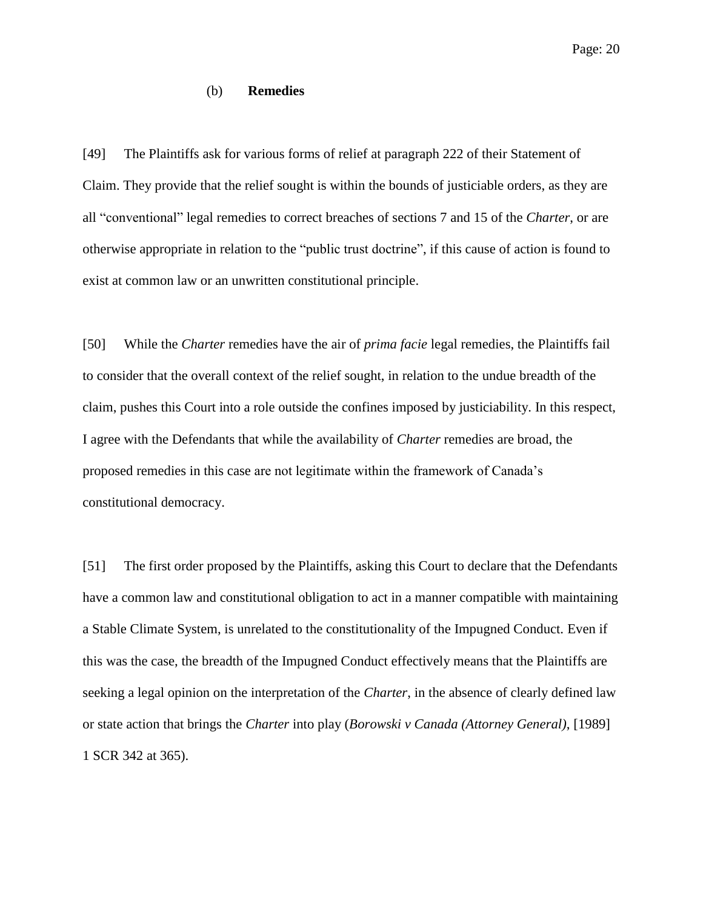#### (b) **Remedies**

[49] The Plaintiffs ask for various forms of relief at paragraph 222 of their Statement of Claim. They provide that the relief sought is within the bounds of justiciable orders, as they are all "conventional" legal remedies to correct breaches of sections 7 and 15 of the *Charter*, or are otherwise appropriate in relation to the "public trust doctrine", if this cause of action is found to exist at common law or an unwritten constitutional principle.

[50] While the *Charter* remedies have the air of *prima facie* legal remedies, the Plaintiffs fail to consider that the overall context of the relief sought, in relation to the undue breadth of the claim, pushes this Court into a role outside the confines imposed by justiciability. In this respect, I agree with the Defendants that while the availability of *Charter* remedies are broad, the proposed remedies in this case are not legitimate within the framework of Canada's constitutional democracy.

[51] The first order proposed by the Plaintiffs, asking this Court to declare that the Defendants have a common law and constitutional obligation to act in a manner compatible with maintaining a Stable Climate System, is unrelated to the constitutionality of the Impugned Conduct. Even if this was the case, the breadth of the Impugned Conduct effectively means that the Plaintiffs are seeking a legal opinion on the interpretation of the *Charter*, in the absence of clearly defined law or state action that brings the *Charter* into play (*Borowski v Canada (Attorney General)*, [1989] 1 SCR 342 at 365).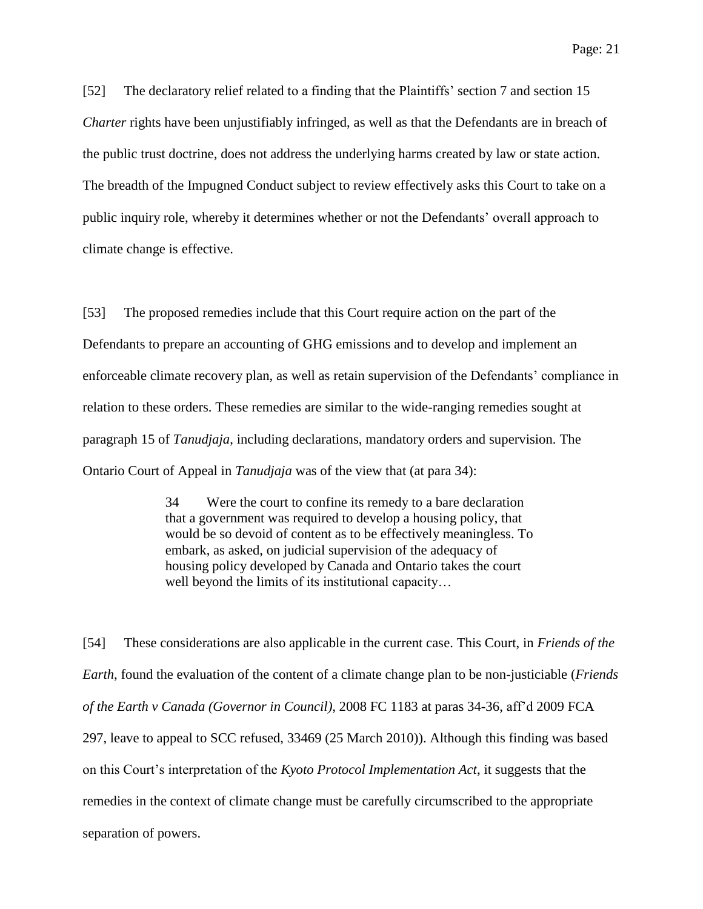[52] The declaratory relief related to a finding that the Plaintiffs' section 7 and section 15 *Charter* rights have been unjustifiably infringed, as well as that the Defendants are in breach of the public trust doctrine, does not address the underlying harms created by law or state action. The breadth of the Impugned Conduct subject to review effectively asks this Court to take on a public inquiry role, whereby it determines whether or not the Defendants' overall approach to climate change is effective.

[53] The proposed remedies include that this Court require action on the part of the Defendants to prepare an accounting of GHG emissions and to develop and implement an enforceable climate recovery plan, as well as retain supervision of the Defendants' compliance in relation to these orders. These remedies are similar to the wide-ranging remedies sought at paragraph 15 of *Tanudjaja*, including declarations, mandatory orders and supervision. The Ontario Court of Appeal in *Tanudjaja* was of the view that (at para 34):

> 34 Were the court to confine its remedy to a bare declaration that a government was required to develop a housing policy, that would be so devoid of content as to be effectively meaningless. To embark, as asked, on judicial supervision of the adequacy of housing policy developed by Canada and Ontario takes the court well beyond the limits of its institutional capacity…

[54] These considerations are also applicable in the current case. This Court, in *Friends of the Earth*, found the evaluation of the content of a climate change plan to be non-justiciable (*Friends of the Earth v Canada (Governor in Council)*, 2008 FC 1183 at paras 34-36, aff'd 2009 FCA 297, leave to appeal to SCC refused, 33469 (25 March 2010)). Although this finding was based on this Court's interpretation of the *Kyoto Protocol Implementation Act*, it suggests that the remedies in the context of climate change must be carefully circumscribed to the appropriate separation of powers.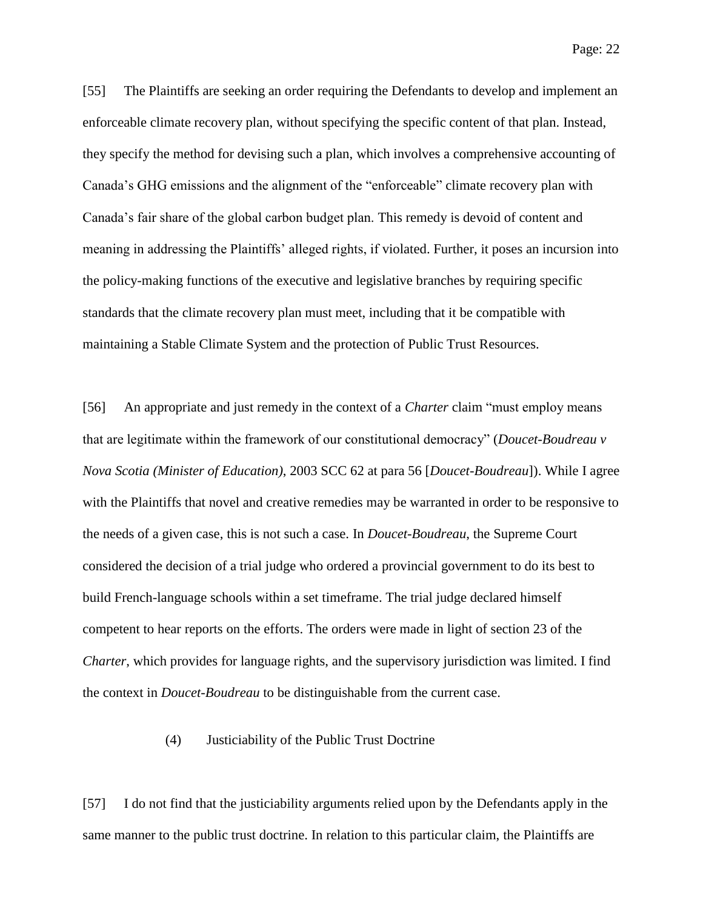Page: 22

[55] The Plaintiffs are seeking an order requiring the Defendants to develop and implement an enforceable climate recovery plan, without specifying the specific content of that plan. Instead, they specify the method for devising such a plan, which involves a comprehensive accounting of Canada's GHG emissions and the alignment of the "enforceable" climate recovery plan with Canada's fair share of the global carbon budget plan. This remedy is devoid of content and meaning in addressing the Plaintiffs' alleged rights, if violated. Further, it poses an incursion into the policy-making functions of the executive and legislative branches by requiring specific standards that the climate recovery plan must meet, including that it be compatible with maintaining a Stable Climate System and the protection of Public Trust Resources.

[56] An appropriate and just remedy in the context of a *Charter* claim "must employ means that are legitimate within the framework of our constitutional democracy" (*Doucet-Boudreau v Nova Scotia (Minister of Education)*, 2003 SCC 62 at para 56 [*Doucet-Boudreau*]). While I agree with the Plaintiffs that novel and creative remedies may be warranted in order to be responsive to the needs of a given case, this is not such a case. In *Doucet-Boudreau*, the Supreme Court considered the decision of a trial judge who ordered a provincial government to do its best to build French-language schools within a set timeframe. The trial judge declared himself competent to hear reports on the efforts. The orders were made in light of section 23 of the *Charter*, which provides for language rights, and the supervisory jurisdiction was limited. I find the context in *Doucet-Boudreau* to be distinguishable from the current case.

(4) Justiciability of the Public Trust Doctrine

[57] I do not find that the justiciability arguments relied upon by the Defendants apply in the same manner to the public trust doctrine. In relation to this particular claim, the Plaintiffs are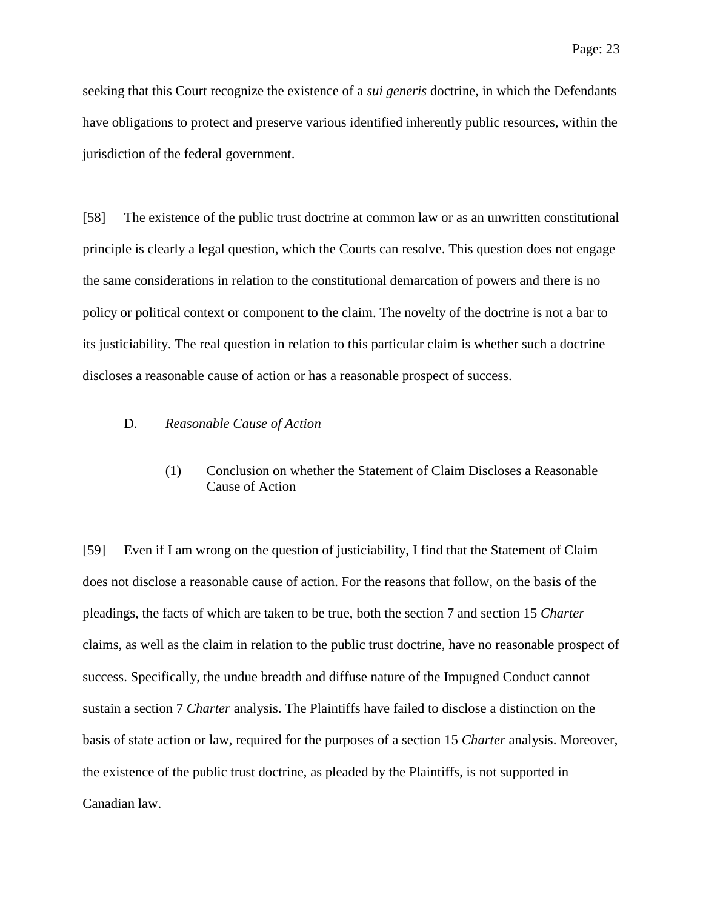seeking that this Court recognize the existence of a *sui generis* doctrine, in which the Defendants have obligations to protect and preserve various identified inherently public resources, within the jurisdiction of the federal government.

[58] The existence of the public trust doctrine at common law or as an unwritten constitutional principle is clearly a legal question, which the Courts can resolve. This question does not engage the same considerations in relation to the constitutional demarcation of powers and there is no policy or political context or component to the claim. The novelty of the doctrine is not a bar to its justiciability. The real question in relation to this particular claim is whether such a doctrine discloses a reasonable cause of action or has a reasonable prospect of success.

# D. *Reasonable Cause of Action*

(1) Conclusion on whether the Statement of Claim Discloses a Reasonable Cause of Action

[59] Even if I am wrong on the question of justiciability, I find that the Statement of Claim does not disclose a reasonable cause of action. For the reasons that follow, on the basis of the pleadings, the facts of which are taken to be true, both the section 7 and section 15 *Charter* claims, as well as the claim in relation to the public trust doctrine, have no reasonable prospect of success. Specifically, the undue breadth and diffuse nature of the Impugned Conduct cannot sustain a section 7 *Charter* analysis. The Plaintiffs have failed to disclose a distinction on the basis of state action or law, required for the purposes of a section 15 *Charter* analysis. Moreover, the existence of the public trust doctrine, as pleaded by the Plaintiffs, is not supported in Canadian law.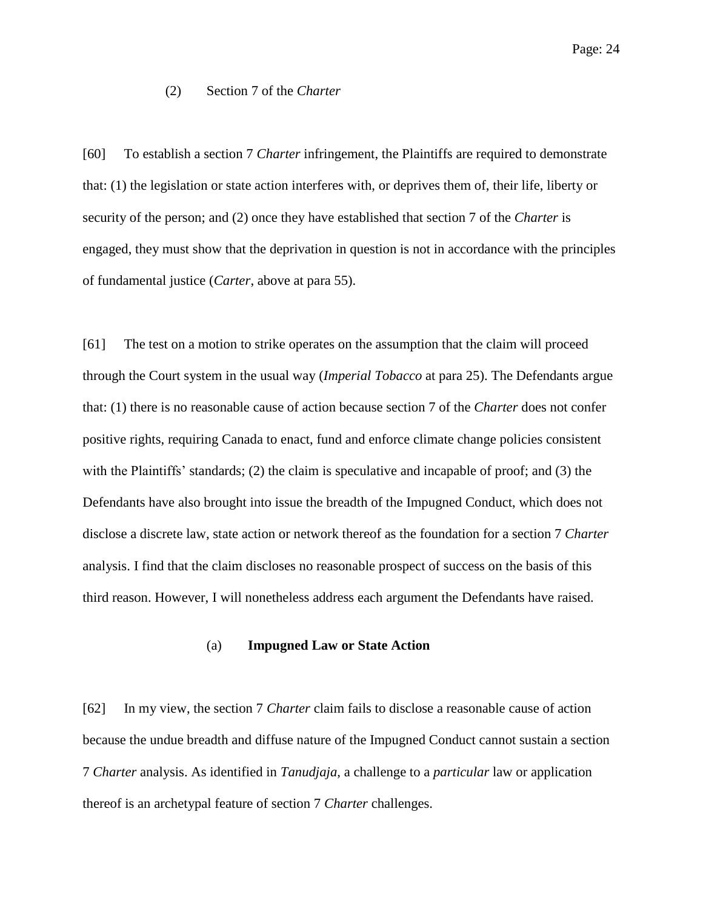# (2) Section 7 of the *Charter*

[60] To establish a section 7 *Charter* infringement, the Plaintiffs are required to demonstrate that: (1) the legislation or state action interferes with, or deprives them of, their life, liberty or security of the person; and (2) once they have established that section 7 of the *Charter* is engaged, they must show that the deprivation in question is not in accordance with the principles of fundamental justice (*Carter*, above at para 55).

[61] The test on a motion to strike operates on the assumption that the claim will proceed through the Court system in the usual way (*Imperial Tobacco* at para 25). The Defendants argue that: (1) there is no reasonable cause of action because section 7 of the *Charter* does not confer positive rights, requiring Canada to enact, fund and enforce climate change policies consistent with the Plaintiffs' standards; (2) the claim is speculative and incapable of proof; and (3) the Defendants have also brought into issue the breadth of the Impugned Conduct, which does not disclose a discrete law, state action or network thereof as the foundation for a section 7 *Charter* analysis. I find that the claim discloses no reasonable prospect of success on the basis of this third reason. However, I will nonetheless address each argument the Defendants have raised.

#### (a) **Impugned Law or State Action**

[62] In my view, the section 7 *Charter* claim fails to disclose a reasonable cause of action because the undue breadth and diffuse nature of the Impugned Conduct cannot sustain a section 7 *Charter* analysis. As identified in *Tanudjaja*, a challenge to a *particular* law or application thereof is an archetypal feature of section 7 *Charter* challenges.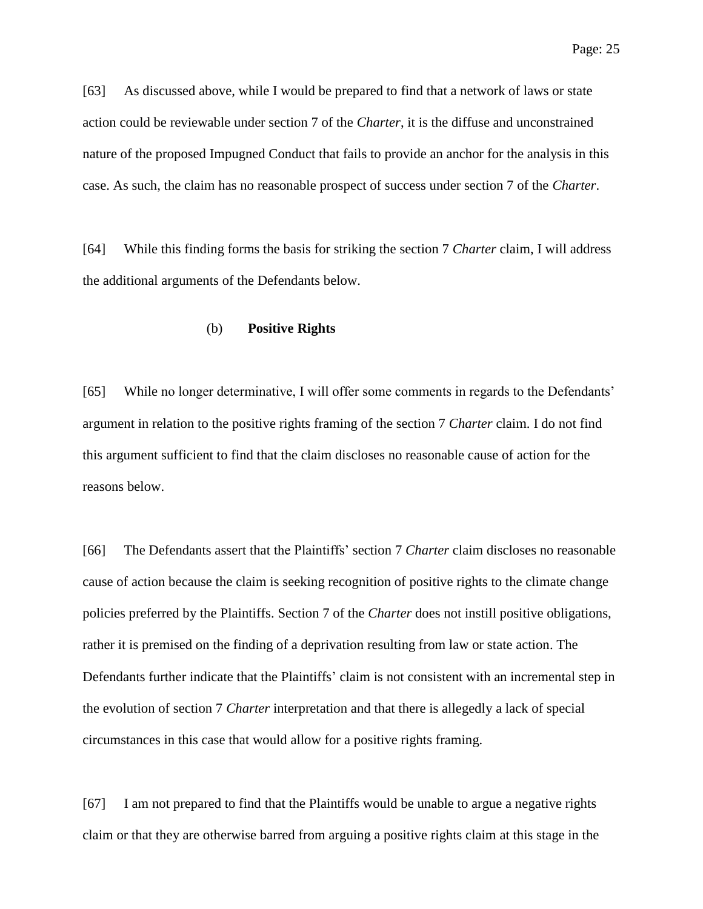[63] As discussed above, while I would be prepared to find that a network of laws or state action could be reviewable under section 7 of the *Charter*, it is the diffuse and unconstrained nature of the proposed Impugned Conduct that fails to provide an anchor for the analysis in this case. As such, the claim has no reasonable prospect of success under section 7 of the *Charter*.

[64] While this finding forms the basis for striking the section 7 *Charter* claim, I will address the additional arguments of the Defendants below.

## (b) **Positive Rights**

[65] While no longer determinative, I will offer some comments in regards to the Defendants' argument in relation to the positive rights framing of the section 7 *Charter* claim. I do not find this argument sufficient to find that the claim discloses no reasonable cause of action for the reasons below.

[66] The Defendants assert that the Plaintiffs' section 7 *Charter* claim discloses no reasonable cause of action because the claim is seeking recognition of positive rights to the climate change policies preferred by the Plaintiffs. Section 7 of the *Charter* does not instill positive obligations, rather it is premised on the finding of a deprivation resulting from law or state action. The Defendants further indicate that the Plaintiffs' claim is not consistent with an incremental step in the evolution of section 7 *Charter* interpretation and that there is allegedly a lack of special circumstances in this case that would allow for a positive rights framing.

[67] I am not prepared to find that the Plaintiffs would be unable to argue a negative rights claim or that they are otherwise barred from arguing a positive rights claim at this stage in the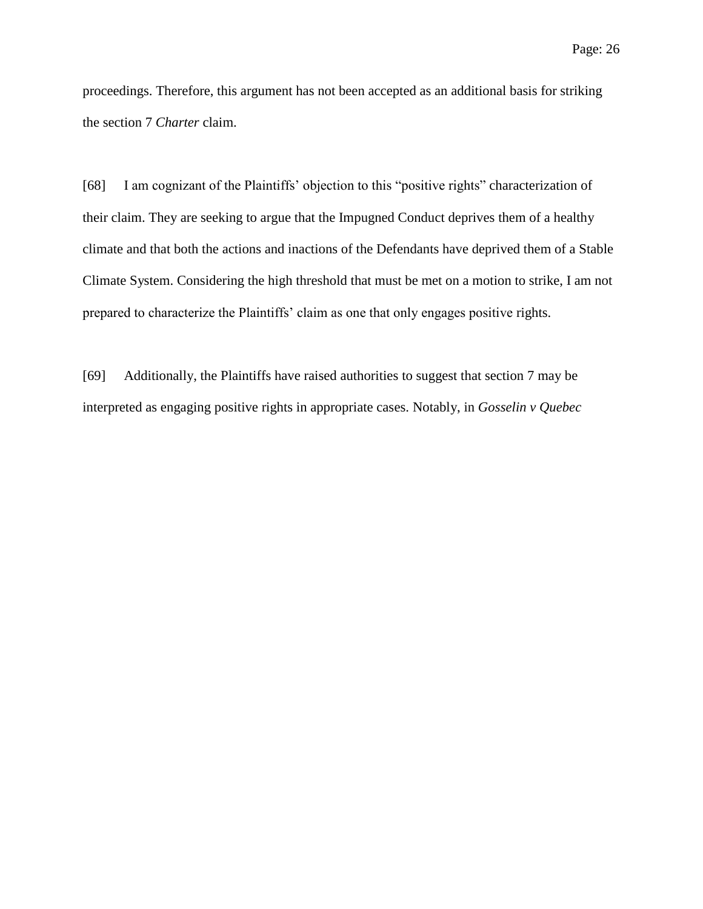proceedings. Therefore, this argument has not been accepted as an additional basis for striking the section 7 *Charter* claim.

[68] I am cognizant of the Plaintiffs' objection to this "positive rights" characterization of their claim. They are seeking to argue that the Impugned Conduct deprives them of a healthy climate and that both the actions and inactions of the Defendants have deprived them of a Stable Climate System. Considering the high threshold that must be met on a motion to strike, I am not prepared to characterize the Plaintiffs' claim as one that only engages positive rights.

[69] Additionally, the Plaintiffs have raised authorities to suggest that section 7 may be interpreted as engaging positive rights in appropriate cases. Notably, in *Gosselin v Quebec*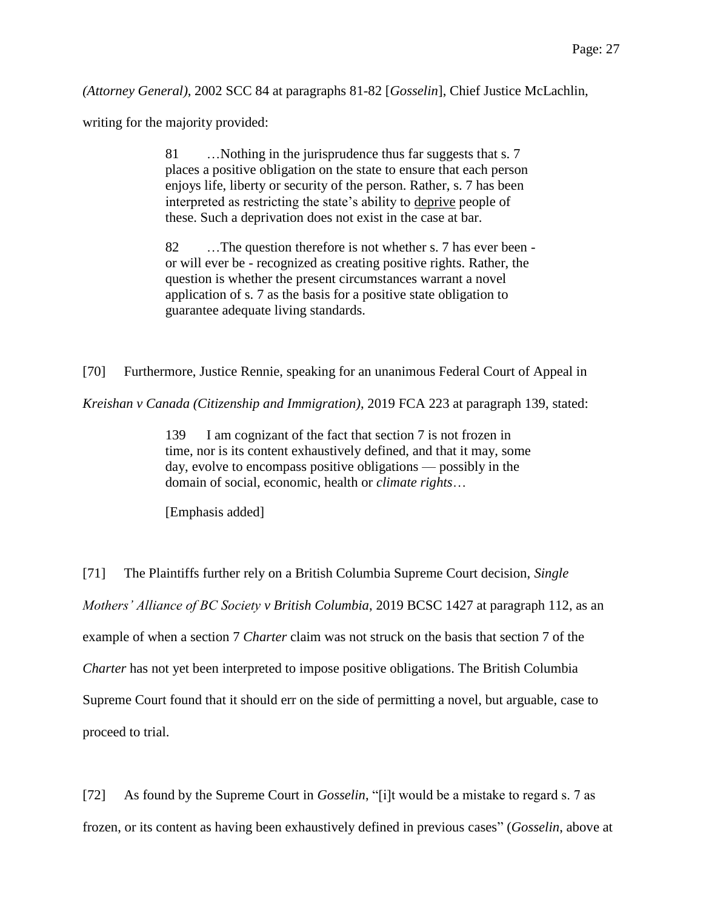*(Attorney General)*, 2002 SCC 84 at paragraphs 81-82 [*Gosselin*], Chief Justice McLachlin,

writing for the majority provided:

81 …Nothing in the jurisprudence thus far suggests that s. 7 places a positive obligation on the state to ensure that each person enjoys life, liberty or security of the person. Rather, s. 7 has been interpreted as restricting the state's ability to deprive people of these. Such a deprivation does not exist in the case at bar.

82 …The question therefore is not whether s. 7 has ever been or will ever be - recognized as creating positive rights. Rather, the question is whether the present circumstances warrant a novel application of s. 7 as the basis for a positive state obligation to guarantee adequate living standards.

[70] Furthermore, Justice Rennie, speaking for an unanimous Federal Court of Appeal in

*Kreishan v Canada (Citizenship and Immigration)*, 2019 FCA 223 at paragraph 139, stated:

139 I am cognizant of the fact that section 7 is not frozen in time, nor is its content exhaustively defined, and that it may, some day, evolve to encompass positive obligations — possibly in the domain of social, economic, health or *climate rights*…

[Emphasis added]

[71] The Plaintiffs further rely on a British Columbia Supreme Court decision, *Single Mothers' Alliance of BC Society v British Columbia*, 2019 BCSC 1427 at paragraph 112, as an example of when a section 7 *Charter* claim was not struck on the basis that section 7 of the *Charter* has not yet been interpreted to impose positive obligations. The British Columbia Supreme Court found that it should err on the side of permitting a novel, but arguable, case to proceed to trial.

[72] As found by the Supreme Court in *Gosselin*, "[i]t would be a mistake to regard s. 7 as frozen, or its content as having been exhaustively defined in previous cases" (*Gosselin*, above at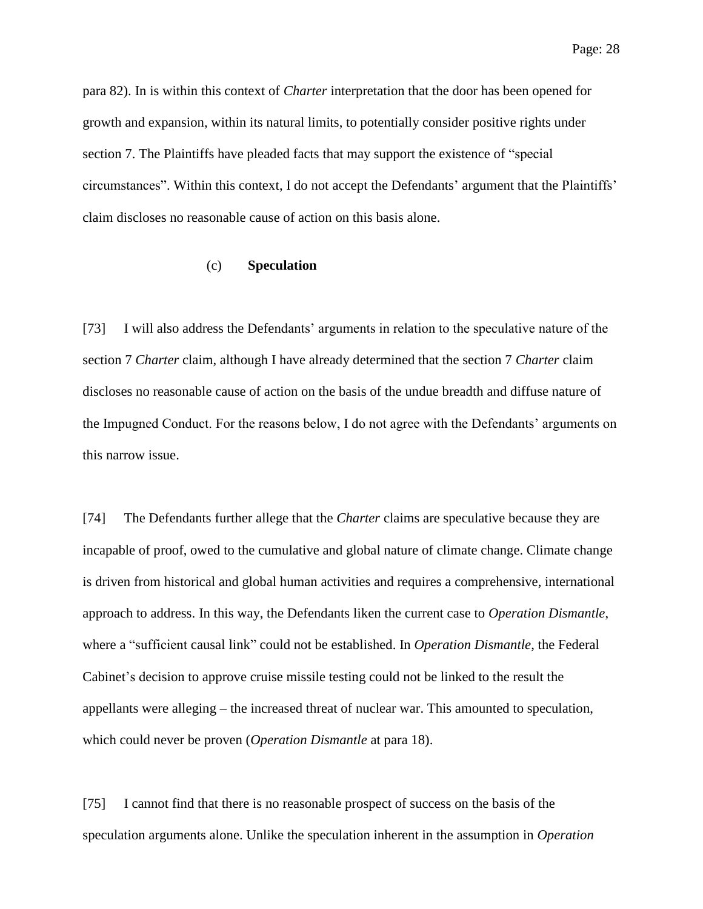para 82). In is within this context of *Charter* interpretation that the door has been opened for growth and expansion, within its natural limits, to potentially consider positive rights under section 7. The Plaintiffs have pleaded facts that may support the existence of "special circumstances". Within this context, I do not accept the Defendants' argument that the Plaintiffs' claim discloses no reasonable cause of action on this basis alone.

# (c) **Speculation**

[73] I will also address the Defendants' arguments in relation to the speculative nature of the section 7 *Charter* claim, although I have already determined that the section 7 *Charter* claim discloses no reasonable cause of action on the basis of the undue breadth and diffuse nature of the Impugned Conduct. For the reasons below, I do not agree with the Defendants' arguments on this narrow issue.

[74] The Defendants further allege that the *Charter* claims are speculative because they are incapable of proof, owed to the cumulative and global nature of climate change. Climate change is driven from historical and global human activities and requires a comprehensive, international approach to address. In this way, the Defendants liken the current case to *Operation Dismantle*, where a "sufficient causal link" could not be established. In *Operation Dismantle*, the Federal Cabinet's decision to approve cruise missile testing could not be linked to the result the appellants were alleging – the increased threat of nuclear war. This amounted to speculation, which could never be proven (*Operation Dismantle* at para 18).

[75] I cannot find that there is no reasonable prospect of success on the basis of the speculation arguments alone. Unlike the speculation inherent in the assumption in *Operation*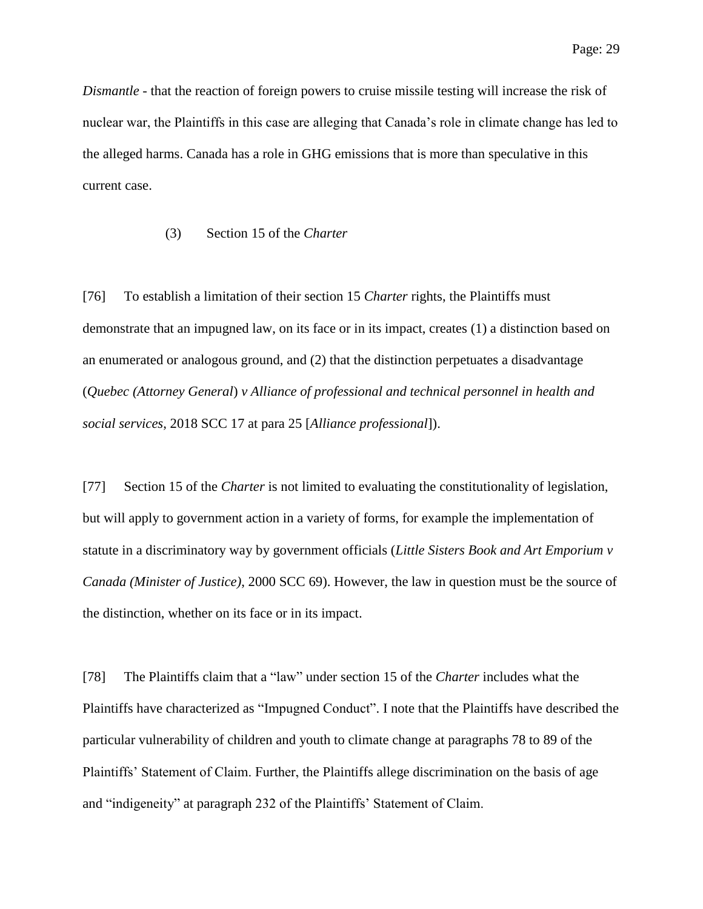*Dismantle* - that the reaction of foreign powers to cruise missile testing will increase the risk of nuclear war, the Plaintiffs in this case are alleging that Canada's role in climate change has led to the alleged harms. Canada has a role in GHG emissions that is more than speculative in this current case.

# (3) Section 15 of the *Charter*

[76] To establish a limitation of their section 15 *Charter* rights, the Plaintiffs must demonstrate that an impugned law, on its face or in its impact, creates (1) a distinction based on an enumerated or analogous ground, and (2) that the distinction perpetuates a disadvantage (*Quebec (Attorney General*) *v Alliance of professional and technical personnel in health and social services*, 2018 SCC 17 at para 25 [*Alliance professional*]).

[77] Section 15 of the *Charter* is not limited to evaluating the constitutionality of legislation, but will apply to government action in a variety of forms, for example the implementation of statute in a discriminatory way by government officials (*Little Sisters Book and Art Emporium v Canada (Minister of Justice)*, 2000 SCC 69). However, the law in question must be the source of the distinction, whether on its face or in its impact.

[78] The Plaintiffs claim that a "law" under section 15 of the *Charter* includes what the Plaintiffs have characterized as "Impugned Conduct". I note that the Plaintiffs have described the particular vulnerability of children and youth to climate change at paragraphs 78 to 89 of the Plaintiffs' Statement of Claim. Further, the Plaintiffs allege discrimination on the basis of age and "indigeneity" at paragraph 232 of the Plaintiffs' Statement of Claim.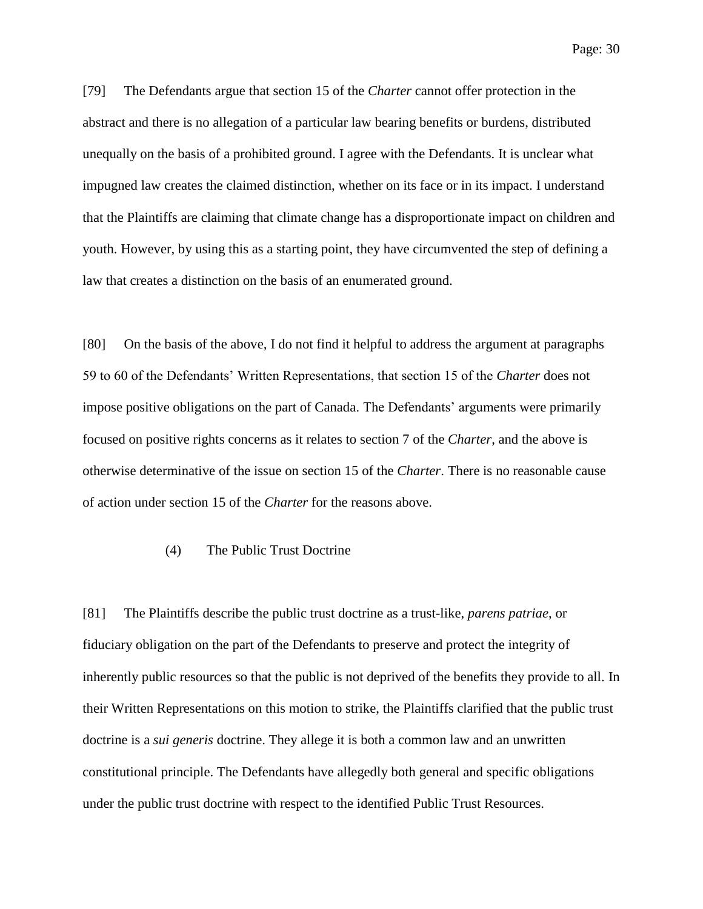Page: 30

[79] The Defendants argue that section 15 of the *Charter* cannot offer protection in the abstract and there is no allegation of a particular law bearing benefits or burdens, distributed unequally on the basis of a prohibited ground. I agree with the Defendants. It is unclear what impugned law creates the claimed distinction, whether on its face or in its impact. I understand that the Plaintiffs are claiming that climate change has a disproportionate impact on children and youth. However, by using this as a starting point, they have circumvented the step of defining a law that creates a distinction on the basis of an enumerated ground.

[80] On the basis of the above, I do not find it helpful to address the argument at paragraphs 59 to 60 of the Defendants' Written Representations, that section 15 of the *Charter* does not impose positive obligations on the part of Canada. The Defendants' arguments were primarily focused on positive rights concerns as it relates to section 7 of the *Charter*, and the above is otherwise determinative of the issue on section 15 of the *Charter*. There is no reasonable cause of action under section 15 of the *Charter* for the reasons above.

# (4) The Public Trust Doctrine

[81] The Plaintiffs describe the public trust doctrine as a trust-like, *parens patriae*, or fiduciary obligation on the part of the Defendants to preserve and protect the integrity of inherently public resources so that the public is not deprived of the benefits they provide to all. In their Written Representations on this motion to strike, the Plaintiffs clarified that the public trust doctrine is a *sui generis* doctrine. They allege it is both a common law and an unwritten constitutional principle. The Defendants have allegedly both general and specific obligations under the public trust doctrine with respect to the identified Public Trust Resources.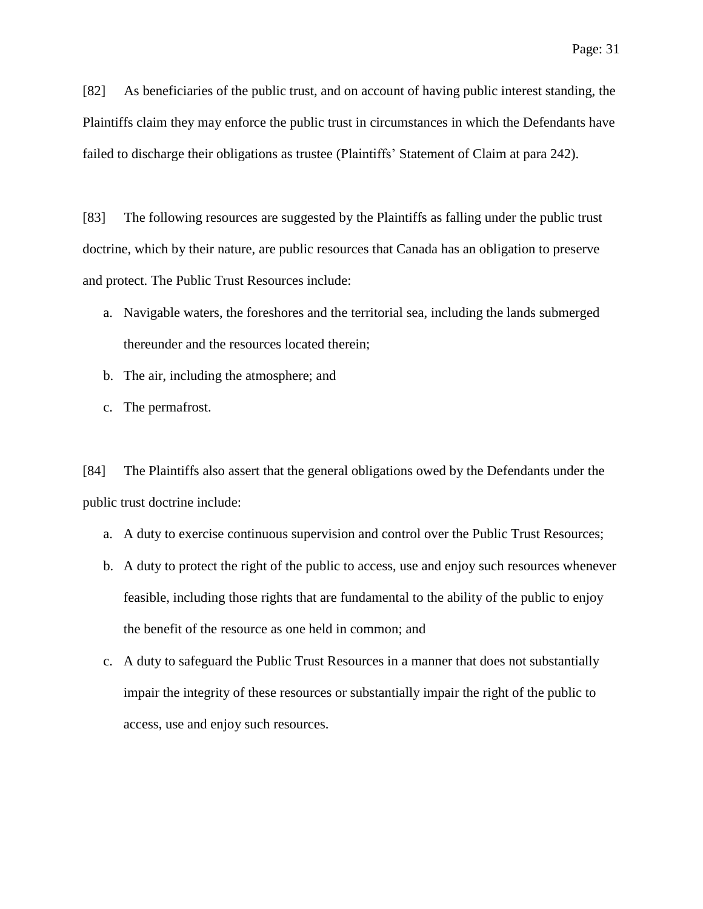[82] As beneficiaries of the public trust, and on account of having public interest standing, the Plaintiffs claim they may enforce the public trust in circumstances in which the Defendants have failed to discharge their obligations as trustee (Plaintiffs' Statement of Claim at para 242).

[83] The following resources are suggested by the Plaintiffs as falling under the public trust doctrine, which by their nature, are public resources that Canada has an obligation to preserve and protect. The Public Trust Resources include:

- a. Navigable waters, the foreshores and the territorial sea, including the lands submerged thereunder and the resources located therein;
- b. The air, including the atmosphere; and
- c. The permafrost.

[84] The Plaintiffs also assert that the general obligations owed by the Defendants under the public trust doctrine include:

- a. A duty to exercise continuous supervision and control over the Public Trust Resources;
- b. A duty to protect the right of the public to access, use and enjoy such resources whenever feasible, including those rights that are fundamental to the ability of the public to enjoy the benefit of the resource as one held in common; and
- c. A duty to safeguard the Public Trust Resources in a manner that does not substantially impair the integrity of these resources or substantially impair the right of the public to access, use and enjoy such resources.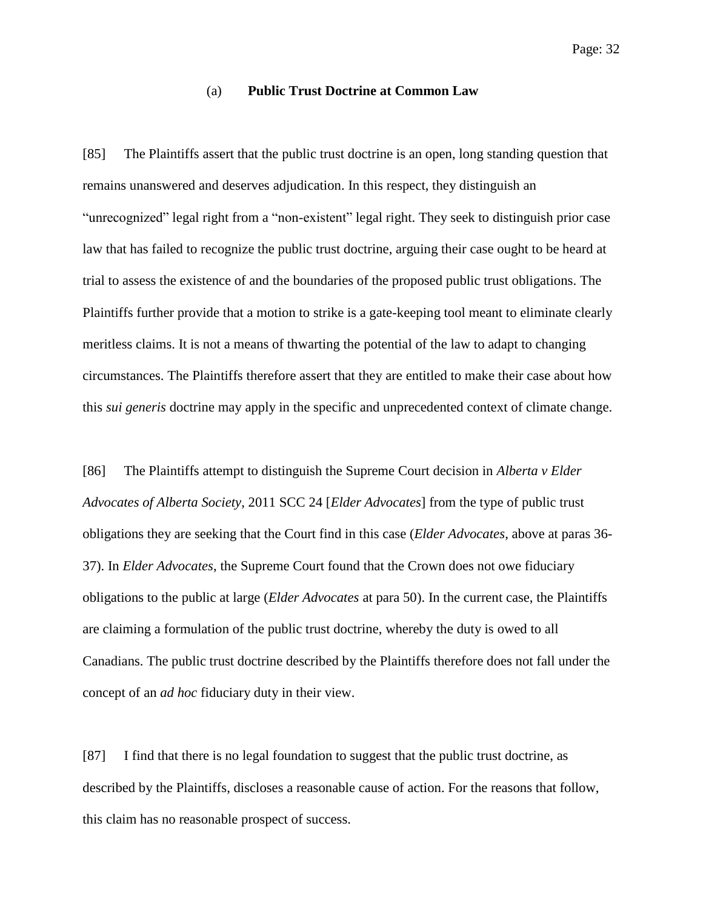# (a) **Public Trust Doctrine at Common Law**

[85] The Plaintiffs assert that the public trust doctrine is an open, long standing question that remains unanswered and deserves adjudication. In this respect, they distinguish an "unrecognized" legal right from a "non-existent" legal right. They seek to distinguish prior case law that has failed to recognize the public trust doctrine, arguing their case ought to be heard at trial to assess the existence of and the boundaries of the proposed public trust obligations. The Plaintiffs further provide that a motion to strike is a gate-keeping tool meant to eliminate clearly meritless claims. It is not a means of thwarting the potential of the law to adapt to changing circumstances. The Plaintiffs therefore assert that they are entitled to make their case about how this *sui generis* doctrine may apply in the specific and unprecedented context of climate change.

[86] The Plaintiffs attempt to distinguish the Supreme Court decision in *Alberta v Elder Advocates of Alberta Society*, 2011 SCC 24 [*Elder Advocates*] from the type of public trust obligations they are seeking that the Court find in this case (*Elder Advocates*, above at paras 36- 37). In *Elder Advocates*, the Supreme Court found that the Crown does not owe fiduciary obligations to the public at large (*Elder Advocates* at para 50). In the current case, the Plaintiffs are claiming a formulation of the public trust doctrine, whereby the duty is owed to all Canadians. The public trust doctrine described by the Plaintiffs therefore does not fall under the concept of an *ad hoc* fiduciary duty in their view.

[87] I find that there is no legal foundation to suggest that the public trust doctrine, as described by the Plaintiffs, discloses a reasonable cause of action. For the reasons that follow, this claim has no reasonable prospect of success.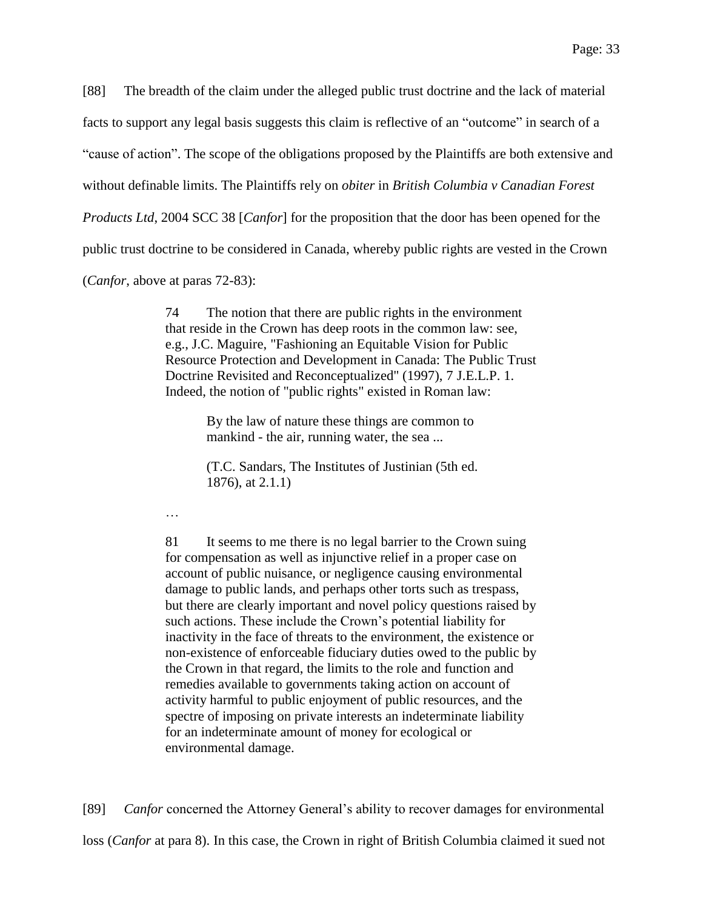[88] The breadth of the claim under the alleged public trust doctrine and the lack of material

facts to support any legal basis suggests this claim is reflective of an "outcome" in search of a

"cause of action". The scope of the obligations proposed by the Plaintiffs are both extensive and

without definable limits. The Plaintiffs rely on *obiter* in *British Columbia v Canadian Forest* 

*Products Ltd*, 2004 SCC 38 [*Canfor*] for the proposition that the door has been opened for the

public trust doctrine to be considered in Canada, whereby public rights are vested in the Crown

(*Canfor*, above at paras 72-83):

74 The notion that there are public rights in the environment that reside in the Crown has deep roots in the common law: see, e.g., J.C. Maguire, "Fashioning an Equitable Vision for Public Resource Protection and Development in Canada: The Public Trust Doctrine Revisited and Reconceptualized" (1997), 7 J.E.L.P. 1. Indeed, the notion of "public rights" existed in Roman law:

> By the law of nature these things are common to mankind - the air, running water, the sea ...

(T.C. Sandars, The Institutes of Justinian (5th ed. 1876), at 2.1.1)

…

81 It seems to me there is no legal barrier to the Crown suing for compensation as well as injunctive relief in a proper case on account of public nuisance, or negligence causing environmental damage to public lands, and perhaps other torts such as trespass, but there are clearly important and novel policy questions raised by such actions. These include the Crown's potential liability for inactivity in the face of threats to the environment, the existence or non-existence of enforceable fiduciary duties owed to the public by the Crown in that regard, the limits to the role and function and remedies available to governments taking action on account of activity harmful to public enjoyment of public resources, and the spectre of imposing on private interests an indeterminate liability for an indeterminate amount of money for ecological or environmental damage.

[89] *Canfor* concerned the Attorney General's ability to recover damages for environmental

loss (*Canfor* at para 8). In this case, the Crown in right of British Columbia claimed it sued not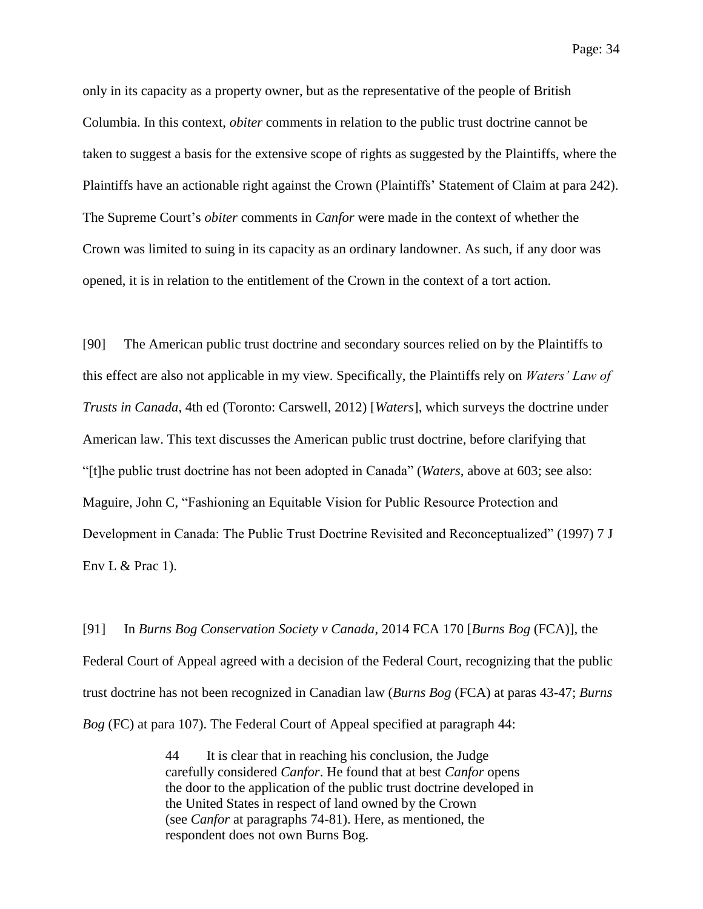only in its capacity as a property owner, but as the representative of the people of British Columbia. In this context, *obiter* comments in relation to the public trust doctrine cannot be taken to suggest a basis for the extensive scope of rights as suggested by the Plaintiffs, where the Plaintiffs have an actionable right against the Crown (Plaintiffs' Statement of Claim at para 242). The Supreme Court's *obiter* comments in *Canfor* were made in the context of whether the Crown was limited to suing in its capacity as an ordinary landowner. As such, if any door was opened, it is in relation to the entitlement of the Crown in the context of a tort action.

[90] The American public trust doctrine and secondary sources relied on by the Plaintiffs to this effect are also not applicable in my view. Specifically, the Plaintiffs rely on *Waters' Law of Trusts in Canada*, 4th ed (Toronto: Carswell, 2012) [*Waters*], which surveys the doctrine under American law. This text discusses the American public trust doctrine, before clarifying that "[t]he public trust doctrine has not been adopted in Canada" (*Waters*, above at 603; see also: Maguire, John C, "Fashioning an Equitable Vision for Public Resource Protection and Development in Canada: The Public Trust Doctrine Revisited and Reconceptualized" (1997) 7 J Env L  $&$  Prac 1).

[91] In *Burns Bog Conservation Society v Canada*, 2014 FCA 170 [*Burns Bog* (FCA)], the Federal Court of Appeal agreed with a decision of the Federal Court, recognizing that the public trust doctrine has not been recognized in Canadian law (*Burns Bog* (FCA) at paras 43-47; *Burns Bog* (FC) at para 107). The Federal Court of Appeal specified at paragraph 44:

> 44 It is clear that in reaching his conclusion, the Judge carefully considered *Canfor*. He found that at best *Canfor* opens the door to the application of the public trust doctrine developed in the United States in respect of land owned by the Crown (see *Canfor* at paragraphs 74-81). Here, as mentioned, the respondent does not own Burns Bog.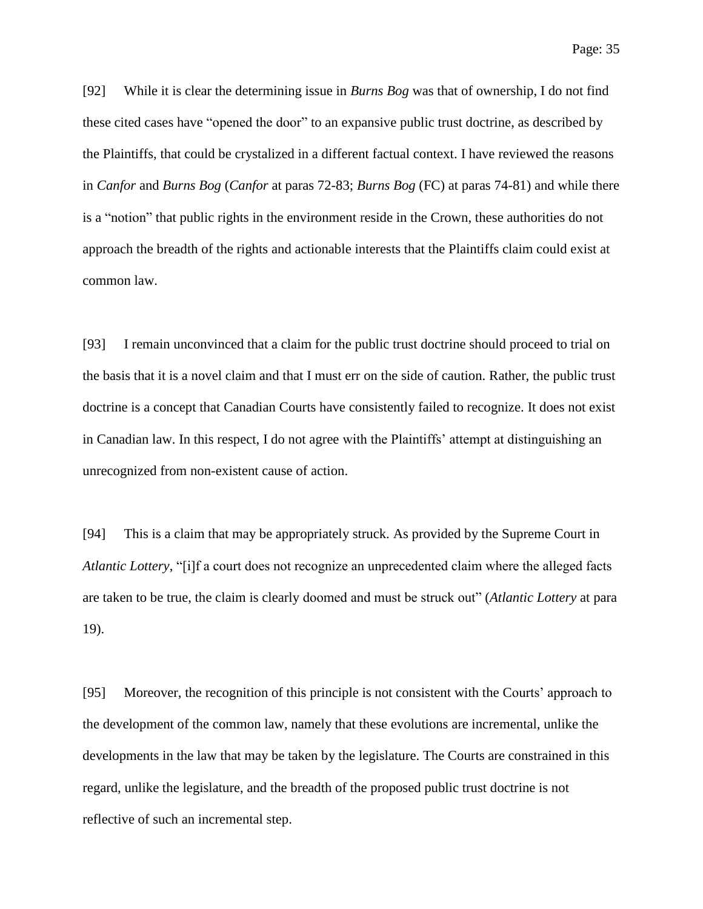Page: 35

[92] While it is clear the determining issue in *Burns Bog* was that of ownership, I do not find these cited cases have "opened the door" to an expansive public trust doctrine, as described by the Plaintiffs, that could be crystalized in a different factual context. I have reviewed the reasons in *Canfor* and *Burns Bog* (*Canfor* at paras 72-83; *Burns Bog* (FC) at paras 74-81) and while there is a "notion" that public rights in the environment reside in the Crown, these authorities do not approach the breadth of the rights and actionable interests that the Plaintiffs claim could exist at common law.

[93] I remain unconvinced that a claim for the public trust doctrine should proceed to trial on the basis that it is a novel claim and that I must err on the side of caution. Rather, the public trust doctrine is a concept that Canadian Courts have consistently failed to recognize. It does not exist in Canadian law. In this respect, I do not agree with the Plaintiffs' attempt at distinguishing an unrecognized from non-existent cause of action.

[94] This is a claim that may be appropriately struck. As provided by the Supreme Court in *Atlantic Lottery*, "[i]f a court does not recognize an unprecedented claim where the alleged facts are taken to be true, the claim is clearly doomed and must be struck out" (*Atlantic Lottery* at para 19).

[95] Moreover, the recognition of this principle is not consistent with the Courts' approach to the development of the common law, namely that these evolutions are incremental, unlike the developments in the law that may be taken by the legislature. The Courts are constrained in this regard, unlike the legislature, and the breadth of the proposed public trust doctrine is not reflective of such an incremental step.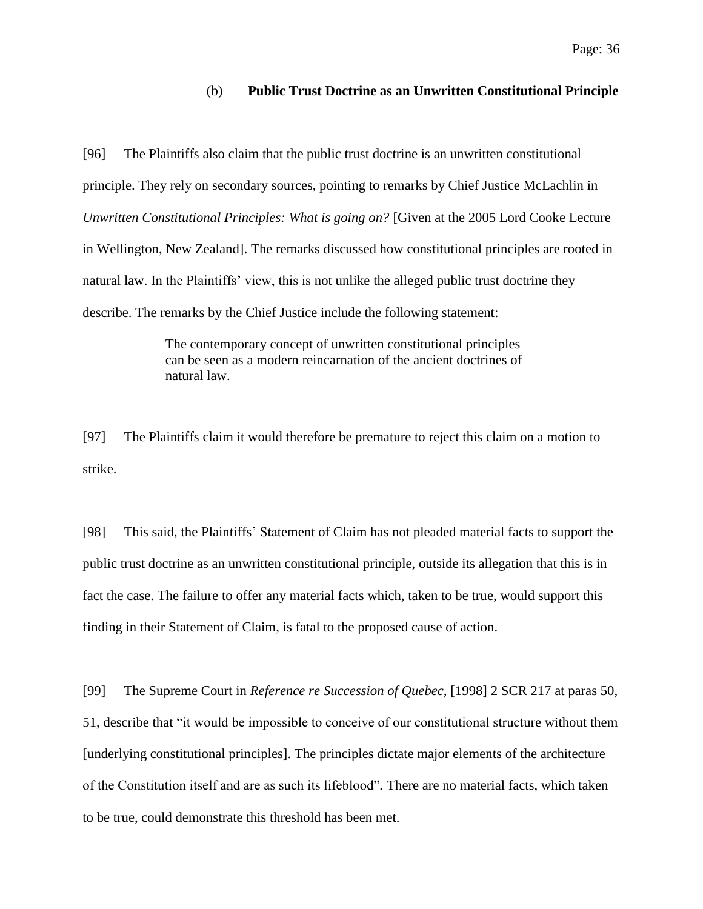# (b) **Public Trust Doctrine as an Unwritten Constitutional Principle**

[96] The Plaintiffs also claim that the public trust doctrine is an unwritten constitutional principle. They rely on secondary sources, pointing to remarks by Chief Justice McLachlin in *Unwritten Constitutional Principles: What is going on?* [Given at the 2005 Lord Cooke Lecture in Wellington, New Zealand]. The remarks discussed how constitutional principles are rooted in natural law. In the Plaintiffs' view, this is not unlike the alleged public trust doctrine they describe. The remarks by the Chief Justice include the following statement:

> The contemporary concept of unwritten constitutional principles can be seen as a modern reincarnation of the ancient doctrines of natural law.

[97] The Plaintiffs claim it would therefore be premature to reject this claim on a motion to strike.

[98] This said, the Plaintiffs' Statement of Claim has not pleaded material facts to support the public trust doctrine as an unwritten constitutional principle, outside its allegation that this is in fact the case. The failure to offer any material facts which, taken to be true, would support this finding in their Statement of Claim, is fatal to the proposed cause of action.

[99] The Supreme Court in *Reference re Succession of Quebec*, [1998] 2 SCR 217 at paras 50, 51, describe that "it would be impossible to conceive of our constitutional structure without them [underlying constitutional principles]. The principles dictate major elements of the architecture of the Constitution itself and are as such its lifeblood"*.* There are no material facts, which taken to be true, could demonstrate this threshold has been met.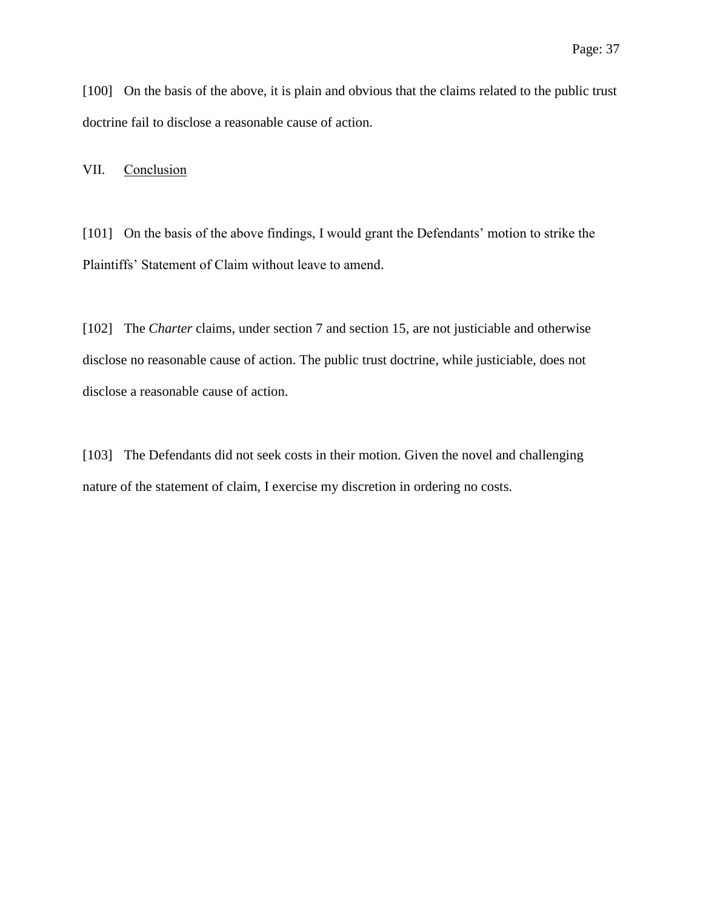[100] On the basis of the above, it is plain and obvious that the claims related to the public trust doctrine fail to disclose a reasonable cause of action.

VII. Conclusion

[101] On the basis of the above findings, I would grant the Defendants' motion to strike the Plaintiffs' Statement of Claim without leave to amend.

[102] The *Charter* claims, under section 7 and section 15, are not justiciable and otherwise disclose no reasonable cause of action. The public trust doctrine, while justiciable, does not disclose a reasonable cause of action.

[103] The Defendants did not seek costs in their motion. Given the novel and challenging nature of the statement of claim, I exercise my discretion in ordering no costs.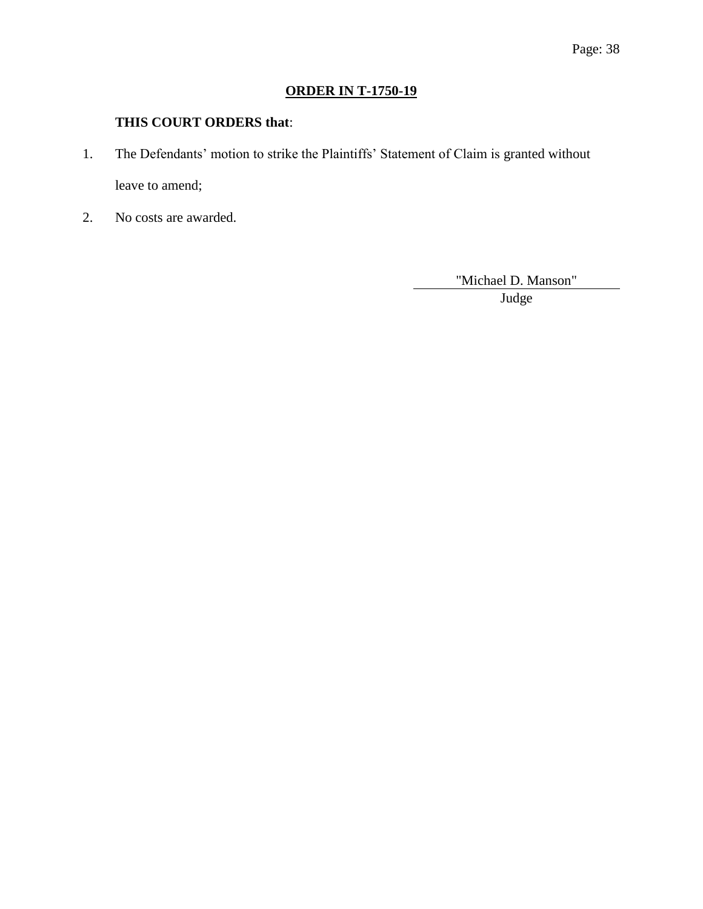# **ORDER IN T-1750-19**

# **THIS COURT ORDERS that**:

- 1. The Defendants' motion to strike the Plaintiffs' Statement of Claim is granted without leave to amend;
- 2. No costs are awarded.

"Michael D. Manson"

Judge